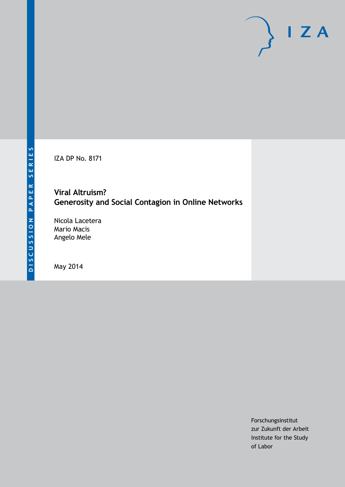IZA DP No. 8171

# **Viral Altruism? Generosity and Social Contagion in Online Networks**

Nicola Lacetera Mario Macis Angelo Mele

May 2014

Forschungsinstitut zur Zukunft der Arbeit Institute for the Study of Labor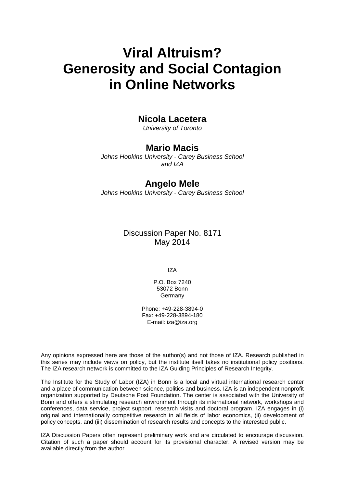# **Viral Altruism? Generosity and Social Contagion in Online Networks**

# **Nicola Lacetera**

*University of Toronto*

# **Mario Macis**

*Johns Hopkins University - Carey Business School and IZA*

# **Angelo Mele**

*Johns Hopkins University - Carey Business School*

# Discussion Paper No. 8171 May 2014

IZA

P.O. Box 7240 53072 Bonn Germany

Phone: +49-228-3894-0 Fax: +49-228-3894-180 E-mail: [iza@iza.org](mailto:iza@iza.org)

Any opinions expressed here are those of the author(s) and not those of IZA. Research published in this series may include views on policy, but the institute itself takes no institutional policy positions. The IZA research network is committed to the IZA Guiding Principles of Research Integrity.

The Institute for the Study of Labor (IZA) in Bonn is a local and virtual international research center and a place of communication between science, politics and business. IZA is an independent nonprofit organization supported by Deutsche Post Foundation. The center is associated with the University of Bonn and offers a stimulating research environment through its international network, workshops and conferences, data service, project support, research visits and doctoral program. IZA engages in (i) original and internationally competitive research in all fields of labor economics, (ii) development of policy concepts, and (iii) dissemination of research results and concepts to the interested public.

<span id="page-1-0"></span>IZA Discussion Papers often represent preliminary work and are circulated to encourage discussion. Citation of such a paper should account for its provisional character. A revised version may be available directly from the author.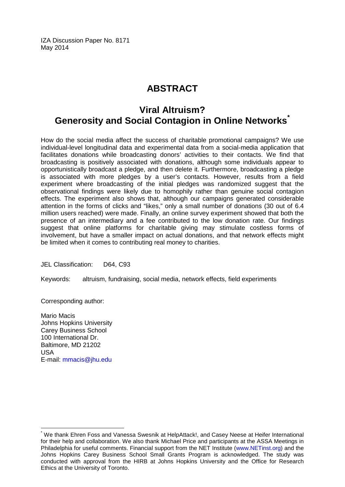IZA Discussion Paper No. 8171 May 2014

# **ABSTRACT**

# **Viral Altruism? Generosity and Social Contagion in Online Networks[\\*](#page-1-0)**

How do the social media affect the success of charitable promotional campaigns? We use individual-level longitudinal data and experimental data from a social-media application that facilitates donations while broadcasting donors' activities to their contacts. We find that broadcasting is positively associated with donations, although some individuals appear to opportunistically broadcast a pledge, and then delete it. Furthermore, broadcasting a pledge is associated with more pledges by a user's contacts. However, results from a field experiment where broadcasting of the initial pledges was randomized suggest that the observational findings were likely due to homophily rather than genuine social contagion effects. The experiment also shows that, although our campaigns generated considerable attention in the forms of clicks and "likes," only a small number of donations (30 out of 6.4 million users reached) were made. Finally, an online survey experiment showed that both the presence of an intermediary and a fee contributed to the low donation rate. Our findings suggest that online platforms for charitable giving may stimulate costless forms of involvement, but have a smaller impact on actual donations, and that network effects might be limited when it comes to contributing real money to charities.

JEL Classification: D64, C93

Keywords: altruism, fundraising, social media, network effects, field experiments

Corresponding author:

Mario Macis Johns Hopkins University Carey Business School 100 International Dr. Baltimore, MD 21202 USA E-mail: [mmacis@jhu.edu](mailto:mmacis@jhu.edu)

We thank Ehren Foss and Vanessa Swesnik at HelpAttack!, and Casey Neese at Heifer International for their help and collaboration. We also thank Michael Price and participants at the ASSA Meetings in Philadelphia for useful comments. Financial support from the NET Institute [\(www.NETinst.org\)](http://www.netinst.org/) and the Johns Hopkins Carey Business School Small Grants Program is acknowledged. The study was conducted with approval from the HIRB at Johns Hopkins University and the Office for Research Ethics at the University of Toronto.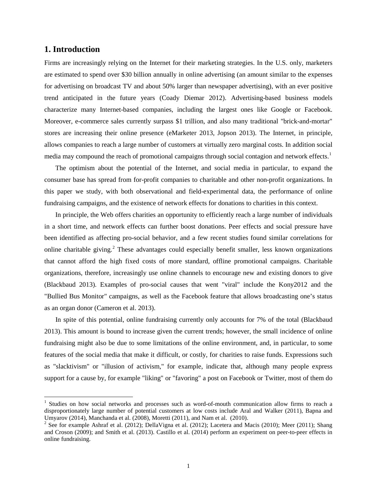### **1. Introduction**

Firms are increasingly relying on the Internet for their marketing strategies. In the U.S. only, marketers are estimated to spend over \$30 billion annually in online advertising (an amount similar to the expenses for advertising on broadcast TV and about 50% larger than newspaper advertising), with an ever positive trend anticipated in the future years (Coady Diemar 2012). Advertising-based business models characterize many Internet-based companies, including the largest ones like Google or Facebook. Moreover, e-commerce sales currently surpass \$1 trillion, and also many traditional "brick-and-mortar" stores are increasing their online presence (eMarketer 2013, Jopson 2013). The Internet, in principle, allows companies to reach a large number of customers at virtually zero marginal costs. In addition social media may compound the reach of promotional campaigns through social contagion and network effects.<sup>[1](#page-3-0)</sup>

The optimism about the potential of the Internet, and social media in particular, to expand the consumer base has spread from for-profit companies to charitable and other non-profit organizations. In this paper we study, with both observational and field-experimental data, the performance of online fundraising campaigns, and the existence of network effects for donations to charities in this context.

In principle, the Web offers charities an opportunity to efficiently reach a large number of individuals in a short time, and network effects can further boost donations. Peer effects and social pressure have been identified as affecting pro-social behavior, and a few recent studies found similar correlations for online charitable giving.<sup>[2](#page-3-1)</sup> These advantages could especially benefit smaller, less known organizations that cannot afford the high fixed costs of more standard, offline promotional campaigns. Charitable organizations, therefore, increasingly use online channels to encourage new and existing donors to give (Blackbaud 2013). Examples of pro-social causes that went "viral" include the Kony2012 and the "Bullied Bus Monitor" campaigns, as well as the Facebook feature that allows broadcasting one's status as an organ donor (Cameron et al. 2013).

In spite of this potential, online fundraising currently only accounts for 7% of the total (Blackbaud 2013). This amount is bound to increase given the current trends; however, the small incidence of online fundraising might also be due to some limitations of the online environment, and, in particular, to some features of the social media that make it difficult, or costly, for charities to raise funds. Expressions such as "slacktivism" or "illusion of activism," for example, indicate that, although many people express support for a cause by, for example "liking" or "favoring" a post on Facebook or Twitter, most of them do

<span id="page-3-0"></span><sup>&</sup>lt;sup>1</sup> Studies on how social networks and processes such as word-of-mouth communication allow firms to reach a disproportionately large number of potential customers at low costs include Aral and Walker (2011), Bapna and Umyarov (2014), Manchanda et al. (2008), Moretti (2011), and Nam et al. (2010).<br><sup>2</sup> See for example Ashraf et al. (2012); DellaVigna et al. (2012); Lacetera and Macis (2010); Meer (2011); Shang

<span id="page-3-1"></span>and Croson (2009); and Smith et al. (2013). Castillo et al. (2014) perform an experiment on peer-to-peer effects in online fundraising.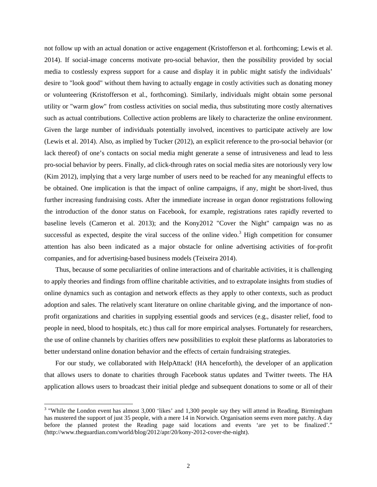not follow up with an actual donation or active engagement (Kristofferson et al. forthcoming; Lewis et al. 2014). If social-image concerns motivate pro-social behavior, then the possibility provided by social media to costlessly express support for a cause and display it in public might satisfy the individuals' desire to "look good" without them having to actually engage in costly activities such as donating money or volunteering (Kristofferson et al., forthcoming). Similarly, individuals might obtain some personal utility or "warm glow" from costless activities on social media, thus substituting more costly alternatives such as actual contributions. Collective action problems are likely to characterize the online environment. Given the large number of individuals potentially involved, incentives to participate actively are low (Lewis et al. 2014). Also, as implied by Tucker (2012), an explicit reference to the pro-social behavior (or lack thereof) of one's contacts on social media might generate a sense of intrusiveness and lead to less pro-social behavior by peers. Finally, ad click-through rates on social media sites are notoriously very low (Kim 2012), implying that a very large number of users need to be reached for any meaningful effects to be obtained. One implication is that the impact of online campaigns, if any, might be short-lived, thus further increasing fundraising costs. After the immediate increase in organ donor registrations following the introduction of the donor status on Facebook, for example, registrations rates rapidly reverted to baseline levels (Cameron et al. 2013); and the Kony2012 "Cover the Night" campaign was no as successful as expected, despite the viral success of the online video.<sup>[3](#page-4-0)</sup> High competition for consumer attention has also been indicated as a major obstacle for online advertising activities of for-profit companies, and for advertising-based business models (Teixeira 2014).

Thus, because of some peculiarities of online interactions and of charitable activities, it is challenging to apply theories and findings from offline charitable activities, and to extrapolate insights from studies of online dynamics such as contagion and network effects as they apply to other contexts, such as product adoption and sales. The relatively scant literature on online charitable giving, and the importance of nonprofit organizations and charities in supplying essential goods and services (e.g., disaster relief, food to people in need, blood to hospitals, etc.) thus call for more empirical analyses. Fortunately for researchers, the use of online channels by charities offers new possibilities to exploit these platforms as laboratories to better understand online donation behavior and the effects of certain fundraising strategies.

For our study, we collaborated with HelpAttack! (HA henceforth), the developer of an application that allows users to donate to charities through Facebook status updates and Twitter tweets. The HA application allows users to broadcast their initial pledge and subsequent donations to some or all of their

<span id="page-4-0"></span><sup>&</sup>lt;sup>3</sup> "While the [London event](https://www.facebook.com/kony2012london) has almost 3,000 'likes' and 1,300 people say they will [attend in Reading,](https://www.facebook.com/events/399146340112044/) Birmingham has [mustered the support of just 35 people,](https://www.facebook.com/pages/Cover-The-Night-Birmingham-Kony-2012/351514501559703) with a mere [14 in Norwich.](https://www.facebook.com/events/333491723370054/) Organisation seems even more patchy. A day before the planned protest the Reading page said locations and events 'are yet to be finalized'." [\(http://www.theguardian.com/world/blog/2012/apr/20/kony-2012-cover-the-night\)](http://www.theguardian.com/world/blog/2012/apr/20/kony-2012-cover-the-night).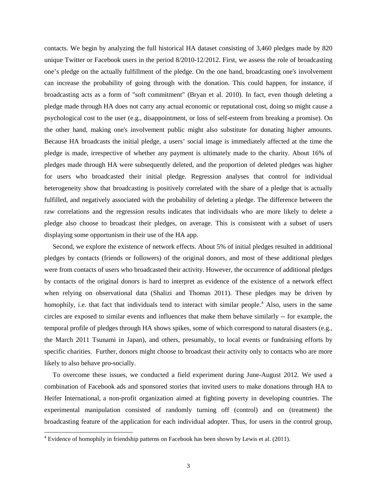contacts. We begin by analyzing the full historical HA dataset consisting of 3,460 pledges made by 820 unique Twitter or Facebook users in the period 8/2010-12/2012. First, we assess the role of broadcasting one's pledge on the actually fulfillment of the pledge. On the one hand, broadcasting one's involvement can increase the probability of going through with the donation. This could happen, for instance, if broadcasting acts as a form of "soft commitment" (Bryan et al. 2010). In fact, even though deleting a pledge made through HA does not carry any actual economic or reputational cost, doing so might cause a psychological cost to the user (e.g., disappointment, or loss of self-esteem from breaking a promise). On the other hand, making one's involvement public might also substitute for donating higher amounts. Because HA broadcasts the initial pledge, a users' social image is immediately affected at the time the pledge is made, irrespective of whether any payment is ultimately made to the charity. About 16% of pledges made through HA were subsequently deleted, and the proportion of deleted pledges was higher for users who broadcasted their initial pledge. Regression analyses that control for individual heterogeneity show that broadcasting is positively correlated with the share of a pledge that is actually fulfilled, and negatively associated with the probability of deleting a pledge. The difference between the raw correlations and the regression results indicates that individuals who are more likely to delete a pledge also choose to broadcast their pledges, on average. This is consistent with a subset of users displaying some opportunism in their use of the HA app.

Second, we explore the existence of network effects. About 5% of initial pledges resulted in additional pledges by contacts (friends or followers) of the original donors, and most of these additional pledges were from contacts of users who broadcasted their activity. However, the occurrence of additional pledges by contacts of the original donors is hard to interpret as evidence of the existence of a network effect when relying on observational data (Shalizi and Thomas 2011). These pledges may be driven by homophily, i.e. that fact that individuals tend to interact with similar people.<sup>[4](#page-5-0)</sup> Also, users in the same circles are exposed to similar events and influences that make them behave similarly -- for example, the temporal profile of pledges through HA shows spikes, some of which correspond to natural disasters (e.g., the March 2011 Tsunami in Japan), and others, presumably, to local events or fundraising efforts by specific charities. Further, donors might choose to broadcast their activity only to contacts who are more likely to also behave pro-socially.

To overcome these issues, we conducted a field experiment during June-August 2012. We used a combination of Facebook ads and sponsored stories that invited users to make donations through HA to Heifer International, a non-profit organization aimed at fighting poverty in developing countries. The experimental manipulation consisted of randomly turning off (control) and on (treatment) the broadcasting feature of the application for each individual adopter. Thus, for users in the control group,

<span id="page-5-0"></span> $4$  Evidence of homophily in friendship patterns on Facebook has been shown by Lewis et al. (2011).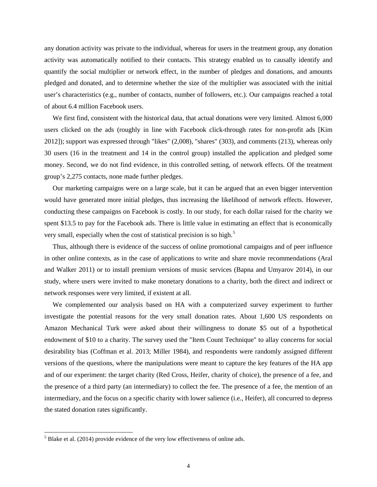any donation activity was private to the individual, whereas for users in the treatment group, any donation activity was automatically notified to their contacts. This strategy enabled us to causally identify and quantify the social multiplier or network effect, in the number of pledges and donations, and amounts pledged and donated, and to determine whether the size of the multiplier was associated with the initial user's characteristics (e.g., number of contacts, number of followers, etc.). Our campaigns reached a total of about 6.4 million Facebook users.

We first find, consistent with the historical data, that actual donations were very limited. Almost 6,000 users clicked on the ads (roughly in line with Facebook click-through rates for non-profit ads [Kim 2012]); support was expressed through "likes" (2,008), "shares" (303), and comments (213), whereas only 30 users (16 in the treatment and 14 in the control group) installed the application and pledged some money. Second, we do not find evidence, in this controlled setting, of network effects. Of the treatment group's 2,275 contacts, none made further pledges.

Our marketing campaigns were on a large scale, but it can be argued that an even bigger intervention would have generated more initial pledges, thus increasing the likelihood of network effects. However, conducting these campaigns on Facebook is costly. In our study, for each dollar raised for the charity we spent \$13.5 to pay for the Facebook ads. There is little value in estimating an effect that is economically very small, especially when the cost of statistical precision is so high.<sup>[5](#page-6-0)</sup>

Thus, although there is evidence of the success of online promotional campaigns and of peer influence in other online contexts, as in the case of applications to write and share movie recommendations (Aral and Walker 2011) or to install premium versions of music services (Bapna and Umyarov 2014), in our study, where users were invited to make monetary donations to a charity, both the direct and indirect or network responses were very limited, if existent at all.

We complemented our analysis based on HA with a computerized survey experiment to further investigate the potential reasons for the very small donation rates. About 1,600 US respondents on Amazon Mechanical Turk were asked about their willingness to donate \$5 out of a hypothetical endowment of \$10 to a charity. The survey used the "Item Count Technique" to allay concerns for social desirability bias (Coffman et al. 2013; Miller 1984), and respondents were randomly assigned different versions of the questions, where the manipulations were meant to capture the key features of the HA app and of our experiment: the target charity (Red Cross, Heifer, charity of choice), the presence of a fee, and the presence of a third party (an intermediary) to collect the fee. The presence of a fee, the mention of an intermediary, and the focus on a specific charity with lower salience (i.e., Heifer), all concurred to depress the stated donation rates significantly.

<span id="page-6-0"></span> $<sup>5</sup>$  Blake et al. (2014) provide evidence of the very low effectiveness of online ads.</sup>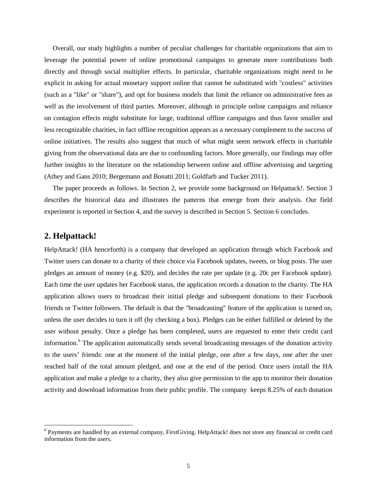Overall, our study highlights a number of peculiar challenges for charitable organizations that aim to leverage the potential power of online promotional campaigns to generate more contributions both directly and through social multiplier effects. In particular, charitable organizations might need to be explicit in asking for actual monetary support online that cannot be substituted with "costless" activities (such as a "like" or "share"), and opt for business models that limit the reliance on administrative fees as well as the involvement of third parties. Moreover, although in principle online campaigns and reliance on contagion effects might substitute for large, traditional offline campaigns and thus favor smaller and less recognizable charities, in fact offline recognition appears as a necessary complement to the success of online initiatives. The results also suggest that much of what might seem network effects in charitable giving from the observational data are due to confounding factors. More generally, our findings may offer further insights to the literature on the relationship between online and offline advertising and targeting (Athey and Gans 2010; Bergemann and Bonatti 2011; Goldfarb and Tucker 2011).

The paper proceeds as follows. In Section 2, we provide some background on Helpattack!. Section 3 describes the historical data and illustrates the patterns that emerge from their analysis. Our field experiment is reported in Section 4, and the survey is described in Section 5. Section 6 concludes.

### **2. Helpattack!**

HelpAttack! (HA henceforth) is a company that developed an application through which Facebook and Twitter users can donate to a charity of their choice via Facebook updates, tweets, or blog posts. The user pledges an amount of money (e.g. \$20), and decides the rate per update (e.g. 20c per Facebook update). Each time the user updates her Facebook status, the application records a donation to the charity. The HA application allows users to broadcast their initial pledge and subsequent donations to their Facebook friends or Twitter followers. The default is that the "broadcasting" feature of the application is turned on, unless the user decides to turn it off (by checking a box). Pledges can be either fulfilled or deleted by the user without penalty. Once a pledge has been completed, users are requested to enter their credit card information.[6](#page-7-0) The application automatically sends several broadcasting messages of the donation activity to the users' friends: one at the moment of the initial pledge, one after a few days, one after the user reached half of the total amount pledged, and one at the end of the period. Once users install the HA application and make a pledge to a charity, they also give permission to the app to monitor their donation activity and download information from their public profile. The company keeps 8.25% of each donation

<span id="page-7-0"></span><sup>6</sup> Payments are handled by an external company, FirstGiving. HelpAttack! does not store any financial or credit card information from the users.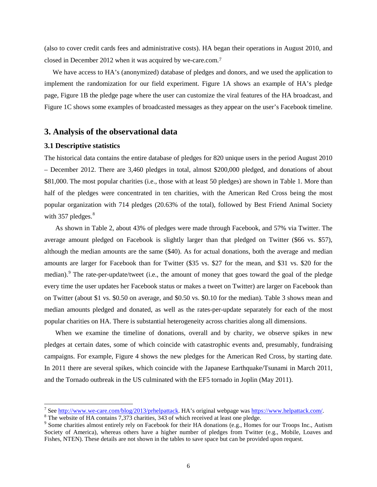(also to cover credit cards fees and administrative costs). HA began their operations in August 2010, and closed in December 2012 when it was acquired by we-care.com.[7](#page-8-0)

We have access to HA's (anonymized) database of pledges and donors, and we used the application to implement the randomization for our field experiment. Figure 1A shows an example of HA's pledge page, Figure 1B the pledge page where the user can customize the viral features of the HA broadcast, and Figure 1C shows some examples of broadcasted messages as they appear on the user's Facebook timeline.

#### **3. Analysis of the observational data**

#### **3.1 Descriptive statistics**

The historical data contains the entire database of pledges for 820 unique users in the period August 2010 – December 2012. There are 3,460 pledges in total, almost \$200,000 pledged, and donations of about \$81,000. The most popular charities (i.e., those with at least 50 pledges) are shown in Table 1. More than half of the pledges were concentrated in ten charities, with the American Red Cross being the most popular organization with 714 pledges (20.63% of the total), followed by Best Friend Animal Society with  $357$  pledges. $8$ 

As shown in Table 2, about 43% of pledges were made through Facebook, and 57% via Twitter. The average amount pledged on Facebook is slightly larger than that pledged on Twitter (\$66 vs. \$57), although the median amounts are the same (\$40). As for actual donations, both the average and median amounts are larger for Facebook than for Twitter (\$35 vs. \$27 for the mean, and \$31 vs. \$20 for the median).<sup>[9](#page-8-2)</sup> The rate-per-update/tweet (i.e., the amount of money that goes toward the goal of the pledge every time the user updates her Facebook status or makes a tweet on Twitter) are larger on Facebook than on Twitter (about \$1 vs. \$0.50 on average, and \$0.50 vs. \$0.10 for the median). Table 3 shows mean and median amounts pledged and donated, as well as the rates-per-update separately for each of the most popular charities on HA. There is substantial heterogeneity across charities along all dimensions.

When we examine the timeline of donations, overall and by charity, we observe spikes in new pledges at certain dates, some of which coincide with catastrophic events and, presumably, fundraising campaigns. For example, Figure 4 shows the new pledges for the American Red Cross, by starting date. In 2011 there are several spikes, which coincide with the Japanese Earthquake/Tsunami in March 2011, and the Tornado outbreak in the US culminated with the EF5 tornado in Joplin (May 2011).

<span id="page-8-0"></span><sup>&</sup>lt;sup>7</sup> Se[e http://www.we-care.com/blog/2013/prhelpattack.](http://www.we-care.com/blog/2013/prhelpattack) HA's original webpage wa[s https://www.helpattack.com/.](https://www.helpattack.com/) <sup>8</sup> The website of HA contains 7,373 charities, 343 of which received at least one pledge.

<span id="page-8-1"></span>

<span id="page-8-2"></span><sup>&</sup>lt;sup>9</sup> Some charities almost entirely rely on Facebook for their HA donations (e.g., Homes for our Troops Inc., Autism Society of America), whereas others have a higher number of pledges from Twitter (e.g., Mobile, Loaves and Fishes, NTEN). These details are not shown in the tables to save space but can be provided upon request.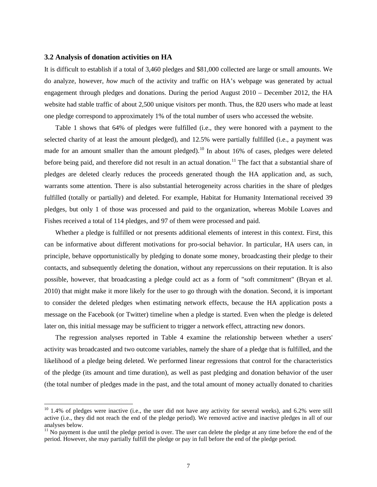#### **3.2 Analysis of donation activities on HA**

It is difficult to establish if a total of 3,460 pledges and \$81,000 collected are large or small amounts. We do analyze, however, *how much* of the activity and traffic on HA's webpage was generated by actual engagement through pledges and donations. During the period August 2010 – December 2012, the HA website had stable traffic of about 2,500 unique visitors per month. Thus, the 820 users who made at least one pledge correspond to approximately 1% of the total number of users who accessed the website.

Table 1 shows that 64% of pledges were fulfilled (i.e., they were honored with a payment to the selected charity of at least the amount pledged), and 12.5% were partially fulfilled (i.e., a payment was made for an amount smaller than the amount pledged).<sup>[10](#page-9-0)</sup> In about 16% of cases, pledges were deleted before being paid, and therefore did not result in an actual donation.<sup>[11](#page-9-1)</sup> The fact that a substantial share of pledges are deleted clearly reduces the proceeds generated though the HA application and, as such, warrants some attention. There is also substantial heterogeneity across charities in the share of pledges fulfilled (totally or partially) and deleted. For example, Habitat for Humanity International received 39 pledges, but only 1 of those was processed and paid to the organization, whereas Mobile Loaves and Fishes received a total of 114 pledges, and 97 of them were processed and paid.

Whether a pledge is fulfilled or not presents additional elements of interest in this context. First, this can be informative about different motivations for pro-social behavior. In particular, HA users can, in principle, behave opportunistically by pledging to donate some money, broadcasting their pledge to their contacts, and subsequently deleting the donation, without any repercussions on their reputation. It is also possible, however, that broadcasting a pledge could act as a form of "soft commitment" (Bryan et al. 2010) that might make it more likely for the user to go through with the donation. Second, it is important to consider the deleted pledges when estimating network effects, because the HA application posts a message on the Facebook (or Twitter) timeline when a pledge is started. Even when the pledge is deleted later on, this initial message may be sufficient to trigger a network effect, attracting new donors.

The regression analyses reported in Table 4 examine the relationship between whether a users' activity was broadcasted and two outcome variables, namely the share of a pledge that is fulfilled, and the likelihood of a pledge being deleted. We performed linear regressions that control for the characteristics of the pledge (its amount and time duration), as well as past pledging and donation behavior of the user (the total number of pledges made in the past, and the total amount of money actually donated to charities

<span id="page-9-0"></span> $10$  1.4% of pledges were inactive (i.e., the user did not have any activity for several weeks), and 6.2% were still active (i.e., they did not reach the end of the pledge period). We removed active and inactive pledges in all of our analyses below.

<span id="page-9-1"></span> $11$  No payment is due until the pledge period is over. The user can delete the pledge at any time before the end of the period. However, she may partially fulfill the pledge or pay in full before the end of the pledge period.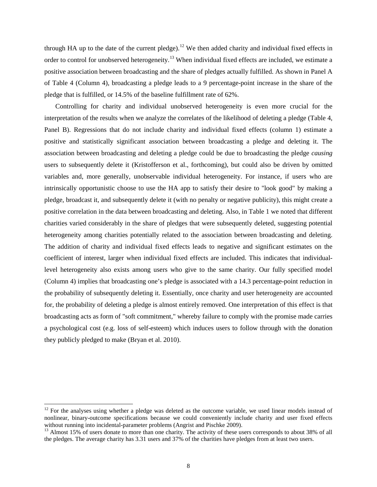through HA up to the date of the current pledge).<sup>[12](#page-10-0)</sup> We then added charity and individual fixed effects in order to control for unobserved heterogeneity.<sup>[13](#page-10-1)</sup> When individual fixed effects are included, we estimate a positive association between broadcasting and the share of pledges actually fulfilled. As shown in Panel A of Table 4 (Column 4), broadcasting a pledge leads to a 9 percentage-point increase in the share of the pledge that is fulfilled, or 14.5% of the baseline fulfillment rate of 62%.

Controlling for charity and individual unobserved heterogeneity is even more crucial for the interpretation of the results when we analyze the correlates of the likelihood of deleting a pledge (Table 4, Panel B). Regressions that do not include charity and individual fixed effects (column 1) estimate a positive and statistically significant association between broadcasting a pledge and deleting it. The association between broadcasting and deleting a pledge could be due to broadcasting the pledge *causing* users to subsequently delete it (Kristofferson et al., forthcoming), but could also be driven by omitted variables and, more generally, unobservable individual heterogeneity. For instance, if users who are intrinsically opportunistic choose to use the HA app to satisfy their desire to "look good" by making a pledge, broadcast it, and subsequently delete it (with no penalty or negative publicity), this might create a positive correlation in the data between broadcasting and deleting. Also, in Table 1 we noted that different charities varied considerably in the share of pledges that were subsequently deleted, suggesting potential heterogeneity among charities potentially related to the association between broadcasting and deleting. The addition of charity and individual fixed effects leads to negative and significant estimates on the coefficient of interest, larger when individual fixed effects are included. This indicates that individuallevel heterogeneity also exists among users who give to the same charity. Our fully specified model (Column 4) implies that broadcasting one's pledge is associated with a 14.3 percentage-point reduction in the probability of subsequently deleting it. Essentially, once charity and user heterogeneity are accounted for, the probability of deleting a pledge is almost entirely removed. One interpretation of this effect is that broadcasting acts as form of "soft commitment," whereby failure to comply with the promise made carries a psychological cost (e.g. loss of self-esteem) which induces users to follow through with the donation they publicly pledged to make (Bryan et al. 2010).

<span id="page-10-0"></span> $12$  For the analyses using whether a pledge was deleted as the outcome variable, we used linear models instead of nonlinear, binary-outcome specifications because we could conveniently include charity and user fixed effects without running into incidental-parameter problems (Angrist and Pischke 2009).

<span id="page-10-1"></span> $^{13}$  Almost 15% of users donate to more than one charity. The activity of these users corresponds to about 38% of all the pledges. The average charity has 3.31 users and 37% of the charities have pledges from at least two users.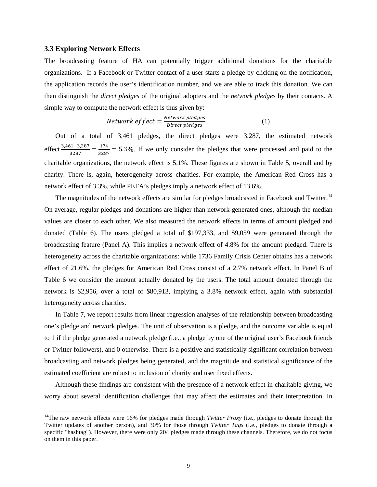#### **3.3 Exploring Network Effects**

The broadcasting feature of HA can potentially trigger additional donations for the charitable organizations. If a Facebook or Twitter contact of a user starts a pledge by clicking on the notification, the application records the user's identification number, and we are able to track this donation. We can then distinguish the *direct pledges* of the original adopters and the *network pledges* by their contacts. A simple way to compute the network effect is thus given by:

Network 
$$
\text{effect} = \frac{\text{Network pledges}}{\text{Direct pledges}}
$$
. (1)

Out of a total of 3,461 pledges, the direct pledges were 3,287, the estimated network effect  $\frac{3,461-3,287}{3287} = \frac{174}{3287} = 5.3\%$ . If we only consider the pledges that were processed and paid to the charitable organizations, the network effect is 5.1%. These figures are shown in Table 5, overall and by charity. There is, again, heterogeneity across charities. For example, the American Red Cross has a network effect of 3.3%, while PETA's pledges imply a network effect of 13.6%.

The magnitudes of the network effects are similar for pledges broadcasted in Facebook and Twitter.<sup>[14](#page-11-0)</sup> On average, regular pledges and donations are higher than network-generated ones, although the median values are closer to each other. We also measured the network effects in terms of amount pledged and donated (Table 6). The users pledged a total of \$197,333, and \$9,059 were generated through the broadcasting feature (Panel A). This implies a network effect of 4.8% for the amount pledged. There is heterogeneity across the charitable organizations: while 1736 Family Crisis Center obtains has a network effect of 21.6%, the pledges for American Red Cross consist of a 2.7% network effect. In Panel B of Table 6 we consider the amount actually donated by the users. The total amount donated through the network is \$2,956, over a total of \$80,913, implying a 3.8% network effect, again with substantial heterogeneity across charities.

In Table 7, we report results from linear regression analyses of the relationship between broadcasting one's pledge and network pledges. The unit of observation is a pledge, and the outcome variable is equal to 1 if the pledge generated a network pledge (i.e., a pledge by one of the original user's Facebook friends or Twitter followers), and 0 otherwise. There is a positive and statistically significant correlation between broadcasting and network pledges being generated, and the magnitude and statistical significance of the estimated coefficient are robust to inclusion of charity and user fixed effects.

Although these findings are consistent with the presence of a network effect in charitable giving, we worry about several identification challenges that may affect the estimates and their interpretation. In

<span id="page-11-0"></span><sup>&</sup>lt;sup>14</sup>The raw network effects were 16% for pledges made through *Twitter Proxy* (i.e., pledges to donate through the Twitter updates of another person), and 30% for those through *Twitter Tags* (i.e., pledges to donate through a specific "hashtag"). However, there were only 204 pledges made through these channels. Therefore, we do not focus on them in this paper.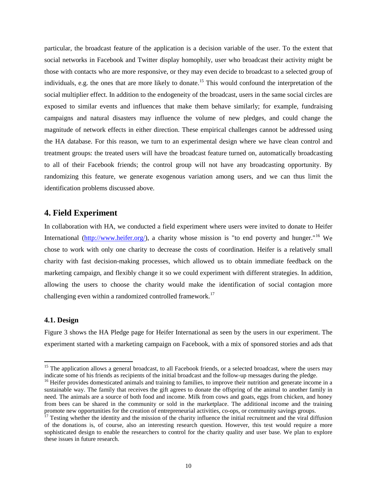particular, the broadcast feature of the application is a decision variable of the user. To the extent that social networks in Facebook and Twitter display homophily, user who broadcast their activity might be those with contacts who are more responsive, or they may even decide to broadcast to a selected group of individuals, e.g. the ones that are more likely to donate.<sup>[15](#page-12-0)</sup> This would confound the interpretation of the social multiplier effect. In addition to the endogeneity of the broadcast, users in the same social circles are exposed to similar events and influences that make them behave similarly; for example, fundraising campaigns and natural disasters may influence the volume of new pledges, and could change the magnitude of network effects in either direction. These empirical challenges cannot be addressed using the HA database. For this reason, we turn to an experimental design where we have clean control and treatment groups: the treated users will have the broadcast feature turned on, automatically broadcasting to all of their Facebook friends; the control group will not have any broadcasting opportunity. By randomizing this feature, we generate exogenous variation among users, and we can thus limit the identification problems discussed above.

# **4. Field Experiment**

In collaboration with HA, we conducted a field experiment where users were invited to donate to Heifer International [\(http://www.heifer.org/\)](http://www.heifer.org/), a charity whose mission is "to end poverty and hunger."<sup>[16](#page-12-1)</sup> We chose to work with only one charity to decrease the costs of coordination. Heifer is a relatively small charity with fast decision-making processes, which allowed us to obtain immediate feedback on the marketing campaign, and flexibly change it so we could experiment with different strategies. In addition, allowing the users to choose the charity would make the identification of social contagion more challenging even within a randomized controlled framework.<sup>[17](#page-12-2)</sup>

#### **4.1. Design**

Figure 3 shows the HA Pledge page for Heifer International as seen by the users in our experiment. The experiment started with a marketing campaign on Facebook, with a mix of sponsored stories and ads that

<span id="page-12-0"></span><sup>&</sup>lt;sup>15</sup> The application allows a general broadcast, to all Facebook friends, or a selected broadcast, where the users may indicate some of his friends as recipients of the initial broadcast and the follow-up messages during t

<span id="page-12-1"></span><sup>&</sup>lt;sup>16</sup> Heifer provides domesticated animals and training to families, to improve their nutrition and generate income in a sustainable way. The family that receives the gift agrees to donate the offspring of the animal to another family in need. The animals are a source of both food and income. Milk from cows and goats, eggs from chicken, and honey from bees can be shared in the community or sold in the marketplace. The additional income and the training promote new opportunities for the creation of entrepreneurial activities, co-ops, or community savings groups.

<span id="page-12-2"></span><sup>&</sup>lt;sup>17</sup> Testing whether the identity and the mission of the charity influence the initial recruitment and the viral diffusion of the donations is, of course, also an interesting research question. However, this test would require a more sophisticated design to enable the researchers to control for the charity quality and user base. We plan to explore these issues in future research.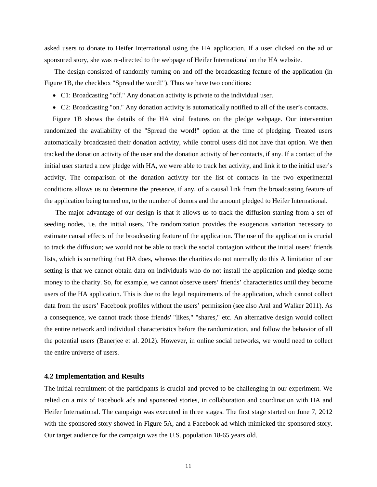asked users to donate to Heifer International using the HA application. If a user clicked on the ad or sponsored story, she was re-directed to the webpage of Heifer International on the HA website.

The design consisted of randomly turning on and off the broadcasting feature of the application (in Figure 1B, the checkbox "Spread the word!"). Thus we have two conditions:

- C1: Broadcasting "off." Any donation activity is private to the individual user.
- C2: Broadcasting "on." Any donation activity is automatically notified to all of the user's contacts.

Figure 1B shows the details of the HA viral features on the pledge webpage. Our intervention randomized the availability of the "Spread the word!" option at the time of pledging. Treated users automatically broadcasted their donation activity, while control users did not have that option. We then tracked the donation activity of the user and the donation activity of her contacts, if any. If a contact of the initial user started a new pledge with HA, we were able to track her activity, and link it to the initial user's activity. The comparison of the donation activity for the list of contacts in the two experimental conditions allows us to determine the presence, if any, of a causal link from the broadcasting feature of the application being turned on, to the number of donors and the amount pledged to Heifer International.

The major advantage of our design is that it allows us to track the diffusion starting from a set of seeding nodes, i.e. the initial users. The randomization provides the exogenous variation necessary to estimate causal effects of the broadcasting feature of the application. The use of the application is crucial to track the diffusion; we would not be able to track the social contagion without the initial users' friends lists, which is something that HA does, whereas the charities do not normally do this A limitation of our setting is that we cannot obtain data on individuals who do not install the application and pledge some money to the charity. So, for example, we cannot observe users' friends' characteristics until they become users of the HA application. This is due to the legal requirements of the application, which cannot collect data from the users' Facebook profiles without the users' permission (see also Aral and Walker 2011). As a consequence, we cannot track those friends' "likes," "shares," etc. An alternative design would collect the entire network and individual characteristics before the randomization, and follow the behavior of all the potential users (Banerjee et al. 2012). However, in online social networks, we would need to collect the entire universe of users.

#### **4.2 Implementation and Results**

The initial recruitment of the participants is crucial and proved to be challenging in our experiment. We relied on a mix of Facebook ads and sponsored stories, in collaboration and coordination with HA and Heifer International. The campaign was executed in three stages. The first stage started on June 7, 2012 with the sponsored story showed in Figure 5A, and a Facebook ad which mimicked the sponsored story. Our target audience for the campaign was the U.S. population 18-65 years old.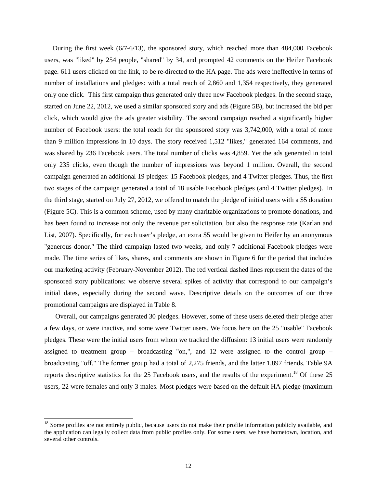During the first week (6/7-6/13), the sponsored story, which reached more than 484,000 Facebook users, was "liked" by 254 people, "shared" by 34, and prompted 42 comments on the Heifer Facebook page. 611 users clicked on the link, to be re-directed to the HA page. The ads were ineffective in terms of number of installations and pledges: with a total reach of 2,860 and 1,354 respectively, they generated only one click. This first campaign thus generated only three new Facebook pledges. In the second stage, started on June 22, 2012, we used a similar sponsored story and ads (Figure 5B), but increased the bid per click, which would give the ads greater visibility. The second campaign reached a significantly higher number of Facebook users: the total reach for the sponsored story was 3,742,000, with a total of more than 9 million impressions in 10 days. The story received 1,512 "likes," generated 164 comments, and was shared by 236 Facebook users. The total number of clicks was 4,859. Yet the ads generated in total only 235 clicks, even though the number of impressions was beyond 1 million. Overall, the second campaign generated an additional 19 pledges: 15 Facebook pledges, and 4 Twitter pledges. Thus, the first two stages of the campaign generated a total of 18 usable Facebook pledges (and 4 Twitter pledges). In the third stage, started on July 27, 2012, we offered to match the pledge of initial users with a \$5 donation (Figure 5C). This is a common scheme, used by many charitable organizations to promote donations, and has been found to increase not only the revenue per solicitation, but also the response rate (Karlan and List, 2007). Specifically, for each user's pledge, an extra \$5 would be given to Heifer by an anonymous "generous donor." The third campaign lasted two weeks, and only 7 additional Facebook pledges were made. The time series of likes, shares, and comments are shown in Figure 6 for the period that includes our marketing activity (February-November 2012). The red vertical dashed lines represent the dates of the sponsored story publications: we observe several spikes of activity that correspond to our campaign's initial dates, especially during the second wave. Descriptive details on the outcomes of our three promotional campaigns are displayed in Table 8.

Overall, our campaigns generated 30 pledges. However, some of these users deleted their pledge after a few days, or were inactive, and some were Twitter users. We focus here on the 25 "usable" Facebook pledges. These were the initial users from whom we tracked the diffusion: 13 initial users were randomly assigned to treatment group – broadcasting "on,", and 12 were assigned to the control group – broadcasting "off." The former group had a total of 2,275 friends, and the latter 1,897 friends. Table 9A reports descriptive statistics for the 25 Facebook users, and the results of the experiment.<sup>[18](#page-14-0)</sup> Of these 25 users, 22 were females and only 3 males. Most pledges were based on the default HA pledge (maximum

<span id="page-14-0"></span> $18$  Some profiles are not entirely public, because users do not make their profile information publicly available, and the application can legally collect data from public profiles only. For some users, we have hometown, location, and several other controls.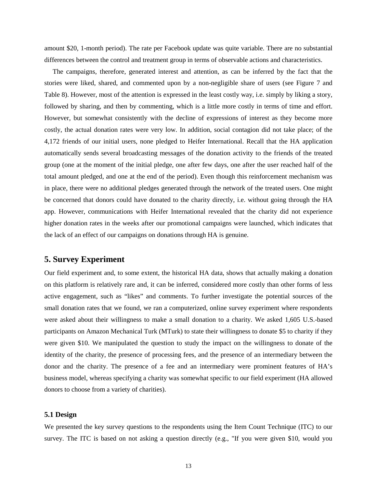amount \$20, 1-month period). The rate per Facebook update was quite variable. There are no substantial differences between the control and treatment group in terms of observable actions and characteristics.

The campaigns, therefore, generated interest and attention, as can be inferred by the fact that the stories were liked, shared, and commented upon by a non-negligible share of users (see Figure 7 and Table 8). However, most of the attention is expressed in the least costly way, i.e. simply by liking a story, followed by sharing, and then by commenting, which is a little more costly in terms of time and effort. However, but somewhat consistently with the decline of expressions of interest as they become more costly, the actual donation rates were very low. In addition, social contagion did not take place; of the 4,172 friends of our initial users, none pledged to Heifer International. Recall that the HA application automatically sends several broadcasting messages of the donation activity to the friends of the treated group (one at the moment of the initial pledge, one after few days, one after the user reached half of the total amount pledged, and one at the end of the period). Even though this reinforcement mechanism was in place, there were no additional pledges generated through the network of the treated users. One might be concerned that donors could have donated to the charity directly, i.e. without going through the HA app. However, communications with Heifer International revealed that the charity did not experience higher donation rates in the weeks after our promotional campaigns were launched, which indicates that the lack of an effect of our campaigns on donations through HA is genuine.

# **5. Survey Experiment**

Our field experiment and, to some extent, the historical HA data, shows that actually making a donation on this platform is relatively rare and, it can be inferred, considered more costly than other forms of less active engagement, such as "likes" and comments. To further investigate the potential sources of the small donation rates that we found, we ran a computerized, online survey experiment where respondents were asked about their willingness to make a small donation to a charity. We asked 1,605 U.S.-based participants on Amazon Mechanical Turk (MTurk) to state their willingness to donate \$5 to charity if they were given \$10. We manipulated the question to study the impact on the willingness to donate of the identity of the charity, the presence of processing fees, and the presence of an intermediary between the donor and the charity. The presence of a fee and an intermediary were prominent features of HA's business model, whereas specifying a charity was somewhat specific to our field experiment (HA allowed donors to choose from a variety of charities).

#### **5.1 Design**

We presented the key survey questions to the respondents using the Item Count Technique (ITC) to our survey. The ITC is based on not asking a question directly (e.g., "If you were given \$10, would you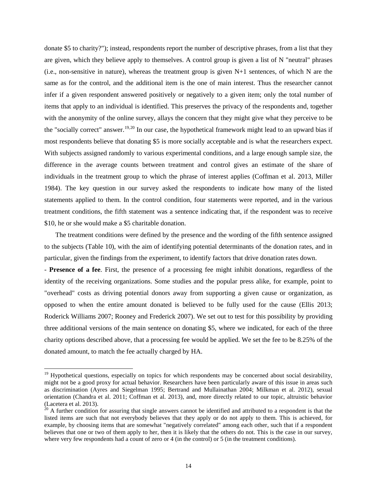donate \$5 to charity?"); instead, respondents report the number of descriptive phrases, from a list that they are given, which they believe apply to themselves. A control group is given a list of N "neutral" phrases (i.e., non-sensitive in nature), whereas the treatment group is given N+1 sentences, of which N are the same as for the control, and the additional item is the one of main interest. Thus the researcher cannot infer if a given respondent answered positively or negatively to a given item; only the total number of items that apply to an individual is identified. This preserves the privacy of the respondents and, together with the anonymity of the online survey, allays the concern that they might give what they perceive to be the "socially correct" answer.<sup>[19,](#page-16-0)[20](#page-16-1)</sup> In our case, the hypothetical framework might lead to an upward bias if most respondents believe that donating \$5 is more socially acceptable and is what the researchers expect. With subjects assigned randomly to various experimental conditions, and a large enough sample size, the difference in the average counts between treatment and control gives an estimate of the share of individuals in the treatment group to which the phrase of interest applies (Coffman et al. 2013, Miller 1984). The key question in our survey asked the respondents to indicate how many of the listed statements applied to them. In the control condition, four statements were reported, and in the various treatment conditions, the fifth statement was a sentence indicating that, if the respondent was to receive \$10, he or she would make a \$5 charitable donation.

The treatment conditions were defined by the presence and the wording of the fifth sentence assigned to the subjects (Table 10), with the aim of identifying potential determinants of the donation rates, and in particular, given the findings from the experiment, to identify factors that drive donation rates down.

- **Presence of a fee**. First, the presence of a processing fee might inhibit donations, regardless of the identity of the receiving organizations. Some studies and the popular press alike, for example, point to "overhead" costs as driving potential donors away from supporting a given cause or organization, as opposed to when the entire amount donated is believed to be fully used for the cause (Ellis 2013; Roderick Williams 2007; Rooney and Frederick 2007). We set out to test for this possibility by providing three additional versions of the main sentence on donating \$5, where we indicated, for each of the three charity options described above, that a processing fee would be applied. We set the fee to be 8.25% of the donated amount, to match the fee actually charged by HA.

<span id="page-16-0"></span><sup>&</sup>lt;sup>19</sup> Hypothetical questions, especially on topics for which respondents may be concerned about social desirability, might not be a good proxy for actual behavior. Researchers have been particularly aware of this issue in areas such as discrimination (Ayres and Siegelman 1995; Bertrand and Mullainathan 2004; Milkman et al. 2012), sexual orientation (Chandra et al. 2011; Coffman et al. 2013), and, more directly related to our topic, altruistic behavior (Lacetera et al. 2013).

<span id="page-16-1"></span> $\frac{20}{20}$  A further condition for assuring that single answers cannot be identified and attributed to a respondent is that the listed items are such that not everybody believes that they apply or do not apply to them. This is achieved, for example, by choosing items that are somewhat "negatively correlated" among each other, such that if a respondent believes that one or two of them apply to her, then it is likely that the others do not. This is the case in our survey, where very few respondents had a count of zero or 4 (in the control) or 5 (in the treatment conditions).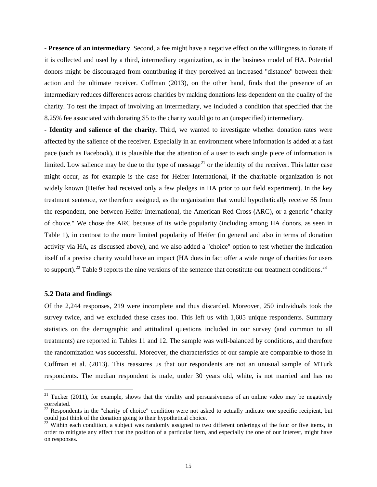**- Presence of an intermediary**. Second, a fee might have a negative effect on the willingness to donate if it is collected and used by a third, intermediary organization, as in the business model of HA. Potential donors might be discouraged from contributing if they perceived an increased "distance" between their action and the ultimate receiver. Coffman (2013), on the other hand, finds that the presence of an intermediary reduces differences across charities by making donations less dependent on the quality of the charity. To test the impact of involving an intermediary, we included a condition that specified that the 8.25% fee associated with donating \$5 to the charity would go to an (unspecified) intermediary.

**- Identity and salience of the charity.** Third, we wanted to investigate whether donation rates were affected by the salience of the receiver. Especially in an environment where information is added at a fast pace (such as Facebook), it is plausible that the attention of a user to each single piece of information is limited. Low salience may be due to the type of message<sup>[21](#page-17-0)</sup> or the identity of the receiver. This latter case might occur, as for example is the case for Heifer International, if the charitable organization is not widely known (Heifer had received only a few pledges in HA prior to our field experiment). In the key treatment sentence, we therefore assigned, as the organization that would hypothetically receive \$5 from the respondent, one between Heifer International, the American Red Cross (ARC), or a generic "charity of choice." We chose the ARC because of its wide popularity (including among HA donors, as seen in Table 1), in contrast to the more limited popularity of Heifer (in general and also in terms of donation activity via HA, as discussed above), and we also added a "choice" option to test whether the indication itself of a precise charity would have an impact (HA does in fact offer a wide range of charities for users to support).<sup>[22](#page-17-1)</sup> Table 9 reports the nine versions of the sentence that constitute our treatment conditions.<sup>[23](#page-17-2)</sup>

#### **5.2 Data and findings**

Of the 2,244 responses, 219 were incomplete and thus discarded. Moreover, 250 individuals took the survey twice, and we excluded these cases too. This left us with 1,605 unique respondents. Summary statistics on the demographic and attitudinal questions included in our survey (and common to all treatments) are reported in Tables 11 and 12. The sample was well-balanced by conditions, and therefore the randomization was successful. Moreover, the characteristics of our sample are comparable to those in Coffman et al. (2013). This reassures us that our respondents are not an unusual sample of MTurk respondents. The median respondent is male, under 30 years old, white, is not married and has no

<span id="page-17-0"></span> $21$  Tucker (2011), for example, shows that the virality and persuasiveness of an online video may be negatively correlated.

<span id="page-17-1"></span> $^{22}$  Respondents in the "charity of choice" condition were not asked to actually indicate one specific recipient, but could just think of the donation going to their hypothetical choice.

<span id="page-17-2"></span><sup>&</sup>lt;sup>23</sup> Within each condition, a subject was randomly assigned to two different orderings of the four or five items, in order to mitigate any effect that the position of a particular item, and especially the one of our interest, might have on responses.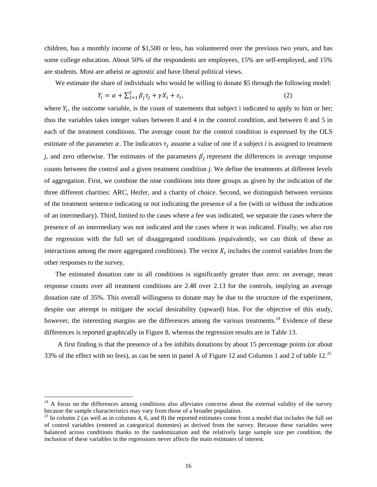children, has a monthly income of \$1,500 or less, has volunteered over the previous two years, and has some college education. About 50% of the respondents are employees, 15% are self-employed, and 15% are students. Most are atheist or agnostic and have liberal political views.

We estimate the share of individuals who would be willing to donate \$5 through the following model:

$$
Y_i = \alpha + \sum_{j=1}^T \beta_j \tau_j + \gamma X_i + \varepsilon_i,\tag{2}
$$

where  $Y_i$ , the outcome variable, is the count of statements that subject i indicated to apply to him or her; thus the variables takes integer values between 0 and 4 in the control condition, and between 0 and 5 in each of the treatment conditions. The average count for the control condition is expressed by the OLS estimate of the parameter  $\alpha$ . The indicators  $\tau_i$  assume a value of one if a subject *i* is assigned to treatment *j*, and zero otherwise. The estimates of the parameters  $\beta_i$  represent the differences in average response counts between the control and a given treatment condition *j*. We define the treatments at different levels of aggregation. First, we combine the nine conditions into three groups as given by the indication of the three different charities: ARC, Heifer, and a charity of choice. Second, we distinguish between versions of the treatment sentence indicating or not indicating the presence of a fee (with or without the indication of an intermediary). Third, limited to the cases where a fee was indicated, we separate the cases where the presence of an intermediary was not indicated and the cases where it was indicated. Finally, we also run the regression with the full set of disaggregated conditions (equivalently, we can think of these as interactions among the more aggregated conditions). The vector  $X_i$  includes the control variables from the other responses to the survey.

The estimated donation rate in all conditions is significantly greater than zero: on average, mean response counts over all treatment conditions are 2.48 over 2.13 for the controls, implying an average donation rate of 35%. This overall willingness to donate may be due to the structure of the experiment, despite our attempt to mitigate the social desirability (upward) bias. For the objective of this study, however, the interesting margins are the differences among the various treatments.<sup>[24](#page-18-0)</sup> Evidence of these differences is reported graphically in Figure 8, whereas the regression results are in Table 13.

A first finding is that the presence of a fee inhibits donations by about 15 percentage points (or about 33% of the effect with no fees), as can be seen in panel A of Figure 12 and Columns 1 and 2 of table 12. $^{25}$  $^{25}$  $^{25}$ 

<span id="page-18-0"></span> $^{24}$  A focus on the differences among conditions also alleviates concerns about the external validity of the survey because the sample characteristics may vary from those of a broader population.

<span id="page-18-1"></span><sup>&</sup>lt;sup>25</sup> In column 2 (as well as in columns 4, 6, and 8) the reported estimates come from a model that includes the full set of control variables (entered as categorical dummies) as derived from the survey. Because these variables were balanced across conditions thanks to the randomization and the relatively large sample size per condition, the inclusion of these variables in the regressions never affects the main estimates of interest.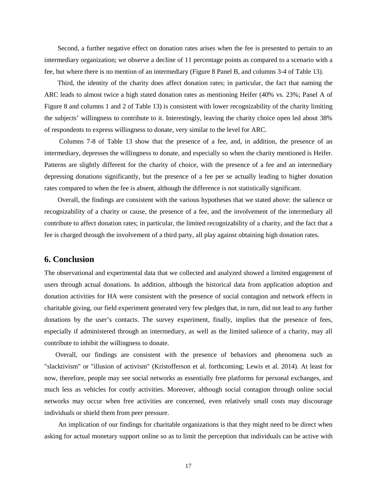Second, a further negative effect on donation rates arises when the fee is presented to pertain to an intermediary organization; we observe a decline of 11 percentage points as compared to a scenario with a fee, but where there is no mention of an intermediary (Figure 8 Panel B, and columns 3-4 of Table 13).

Third, the identity of the charity does affect donation rates; in particular, the fact that naming the ARC leads to almost twice a high stated donation rates as mentioning Heifer (40% vs. 23%; Panel A of Figure 8 and columns 1 and 2 of Table 13) is consistent with lower recognizability of the charity limiting the subjects' willingness to contribute to it. Interestingly, leaving the charity choice open led about 38% of respondents to express willingness to donate, very similar to the level for ARC.

Columns 7-8 of Table 13 show that the presence of a fee, and, in addition, the presence of an intermediary, depresses the willingness to donate, and especially so when the charity mentioned is Heifer. Patterns are slightly different for the charity of choice, with the presence of a fee and an intermediary depressing donations significantly, but the presence of a fee per se actually leading to higher donation rates compared to when the fee is absent, although the difference is not statistically significant.

Overall, the findings are consistent with the various hypotheses that we stated above: the salience or recognizability of a charity or cause, the presence of a fee, and the involvement of the intermediary all contribute to affect donation rates; in particular, the limited recognizability of a charity, and the fact that a fee is charged through the involvement of a third party, all play against obtaining high donation rates.

# **6. Conclusion**

The observational and experimental data that we collected and analyzed showed a limited engagement of users through actual donations. In addition, although the historical data from application adoption and donation activities for HA were consistent with the presence of social contagion and network effects in charitable giving, our field experiment generated very few pledges that, in turn, did not lead to any further donations by the user's contacts. The survey experiment, finally, implies that the presence of fees, especially if administered through an intermediary, as well as the limited salience of a charity, may all contribute to inhibit the willingness to donate.

Overall, our findings are consistent with the presence of behaviors and phenomena such as "slacktivism" or "illusion of activism" (Kristofferson et al. forthcoming; Lewis et al. 2014). At least for now, therefore, people may see social networks as essentially free platforms for personal exchanges, and much less as vehicles for costly activities. Moreover, although social contagion through online social networks may occur when free activities are concerned, even relatively small costs may discourage individuals or shield them from peer pressure.

An implication of our findings for charitable organizations is that they might need to be direct when asking for actual monetary support online so as to limit the perception that individuals can be active with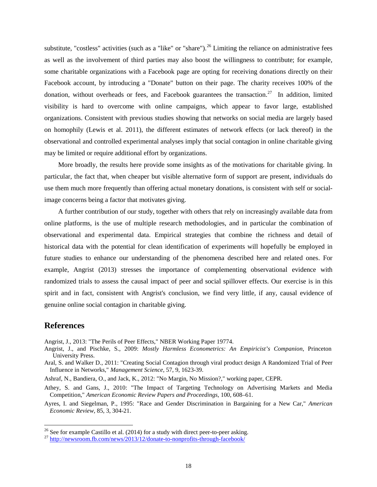substitute, "costless" activities (such as a "like" or "share").<sup>[26](#page-20-0)</sup> Limiting the reliance on administrative fees as well as the involvement of third parties may also boost the willingness to contribute; for example, some charitable organizations with a Facebook page are opting for receiving donations directly on their Facebook account, by introducing a "Donate" button on their page. The charity receives 100% of the donation, without overheads or fees, and Facebook guarantees the transaction.<sup>[27](#page-20-1)</sup> In addition, limited visibility is hard to overcome with online campaigns, which appear to favor large, established organizations. Consistent with previous studies showing that networks on social media are largely based on homophily (Lewis et al. 2011), the different estimates of network effects (or lack thereof) in the observational and controlled experimental analyses imply that social contagion in online charitable giving may be limited or require additional effort by organizations.

More broadly, the results here provide some insights as of the motivations for charitable giving. In particular, the fact that, when cheaper but visible alternative form of support are present, individuals do use them much more frequently than offering actual monetary donations, is consistent with self or socialimage concerns being a factor that motivates giving.

A further contribution of our study, together with others that rely on increasingly available data from online platforms, is the use of multiple research methodologies, and in particular the combination of observational and experimental data. Empirical strategies that combine the richness and detail of historical data with the potential for clean identification of experiments will hopefully be employed in future studies to enhance our understanding of the phenomena described here and related ones. For example, Angrist (2013) stresses the importance of complementing observational evidence with randomized trials to assess the causal impact of peer and social spillover effects. Our exercise is in this spirit and in fact, consistent with Angrist's conclusion, we find very little, if any, causal evidence of genuine online social contagion in charitable giving.

# **References**

Angrist, J., 2013: "The Perils of Peer Effects," NBER Working Paper 19774.

- Angrist, J., and Pischke, S., 2009: *Mostly Harmless Econometrics: An Empiricist's Companion*, Princeton University Press.
- Aral, S. and Walker D., 2011: "Creating Social Contagion through viral product design A Randomized Trial of Peer Influence in Networks," *Management Science*, 57, 9, 1623-39.

Ashraf, N., Bandiera, O., and Jack, K., 2012: "No Margin, No Mission?," working paper, CEPR.

- Athey, S. and Gans, J., 2010: "The Impact of Targeting Technology on Advertising Markets and Media Competition," *American Economic Review Papers and Proceedings*, 100, 608–61.
- Ayres, I. and Siegelman, P., 1995: "Race and Gender Discrimination in Bargaining for a New Car," *American Economic Review*, 85, 3, 304-21.

<span id="page-20-0"></span><sup>&</sup>lt;sup>26</sup> See for example Castillo et al. (2014) for a study with direct peer-to-peer asking.<br><sup>27</sup> <http://newsroom.fb.com/news/2013/12/donate-to-nonprofits-through-facebook/>

<span id="page-20-1"></span>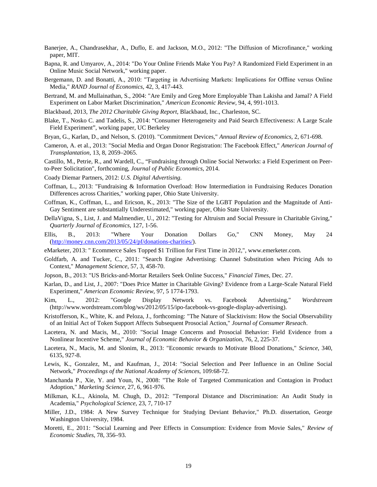- Banerjee, A., Chandrasekhar, A., Duflo, E. and Jackson, M.O., 2012: ["The Diffusion of Microfinance,"](http://econ-www.mit.edu/files/6949) working paper, MIT.
- Bapna, R. and Umyarov, A., 2014: "Do Your Online Friends Make You Pay? A Randomized Field Experiment in an Online Music Social Network," working paper.
- Bergemann, D. and Bonatti, A., 2010: "Targeting in Advertising Markets: Implications for Offline versus Online Media," *RAND Journal of Economics*, 42, 3, 417-443.
- Bertrand, M. and Mullainathan, S., 2004: "Are Emily and Greg More Employable Than Lakisha and Jamal? A Field Experiment on Labor Market Discrimination," *American Economic Review*, 94, 4, 991-1013.
- Blackbaud, 2013, *The 2012 Charitable Giving Report*, Blackbaud, Inc., Charleston, SC.
- Blake, T., Nosko C. and Tadelis, S., 2014: "Consumer Heterogeneity and Paid Search Effectiveness: A Large Scale Field Experiment", working paper, UC Berkeley
- Bryan, G., Karlan, D., and Nelson, S. (2010). "Commitment Devices," *Annual Review of Economics*, 2, 671-698.
- Cameron, A. et al., 2013: "Social Media and Organ Donor Registration: The Facebook Effect," *American Journal of Transplantation*, 13, 8, 2059–2065.

Castillo, M., Petrie, R., and Wardell, C., "Fundraising through Online Social Networks: a Field Experiment on Peerto-Peer Solicitation", forthcoming, *Journal of Public Economics*, 2014.

- Coady Diemar Partners, 2012: *U.S. Digital Advertising.*
- Coffman, L., 2013: "Fundraising & Information Overload: How Intermediation in Fundraising Reduces Donation Differences across Charities," working paper, Ohio State University.
- Coffman, K., Coffman, L., and Ericson, K., 2013: "The Size of the LGBT Population and the Magnitude of Anti-Gay Sentiment are substantially Underestimated," working paper, Ohio State University.
- DellaVigna, S., List, J. and Malmendier, U., 2012: "Testing for Altruism and Social Pressure in Charitable Giving," *Quarterly Journal of Economics*, 127, 1-56.
- Ellis, B., 2013: "Where Your Donation Dollars Go," CNN Money, May 24 [\(http://money.cnn.com/2013/05/24/pf/donations-charities/\)](http://money.cnn.com/2013/05/24/pf/donations-charities/).
- eMarketer, 2013: " Ecommerce Sales Topped \$1 Trillion for First Time in 2012,", www.emerketer.com.
- Goldfarb, A. and Tucker, C., 2011: "Search Engine Advertising: Channel Substitution when Pricing Ads to Context," *Management Science*, 57, 3, 458-70.
- Jopson, B., 2013: "US Bricks-and-Mortar Retailers Seek Online Success," *Financial Times*, Dec. 27.
- Karlan, D., and List, J., 2007: "Does Price Matter in Charitable Giving? Evidence from a Large-Scale Natural Field Experiment," *American Economic Review*, 97, 5 1774-1793.
- Kim, L., 2012: "Google Display Network vs. Facebook Advertising," *Wordstream* (http://www.wordstream.com/blog/ws/2012/05/15/ipo-facebook-vs-google-display-advertising).
- Kristofferson, K., White, K. and Peloza, J., forthcoming: "The Nature of Slacktivism: How the Social Observability of an Initial Act of Token Support Affects Subsequent Prosocial Action," *Journal of Consumer Reseach*.
- Lacetera, N. and Macis, M., 2010: "Social Image Concerns and Prosocial Behavior: Field Evidence from a Nonlinear Incentive Scheme," *Journal of Economic Behavior & Organization*, 76, 2, 225-37.
- Lacetera, N., Macis, M. and Slonim, R., 2013: "Economic rewards to Motivate Blood Donations," *Science*, 340, 6135, 927-8.
- Lewis, K., Gonzalez, M., and Kaufman, J., 2014: "Social Selection and Peer Influence in an Online Social Network," *Proceedings of the National Academy of Sciences*, 109:68-72.
- Manchanda P., Xie, Y. and Youn, N., 2008: "The Role of Targeted Communication and Contagion in Product Adoption," *Marketing Science*, 27, 6, 961-976.
- Milkman, K.L., Akinola, M. Chugh, D., 2012: "Temporal Distance and Discrimination: An Audit Study in Academia," *Psychological Science*, 23, 7, 710-17
- Miller, J.D., 1984: A New Survey Technique for Studying Deviant Behavior," Ph.D. dissertation, George Washington University, 1984.
- Moretti, E., 2011: "Social Learning and Peer Effects in Consumption: Evidence from Movie Sales," *Review of Economic Studies*, 78, 356–93.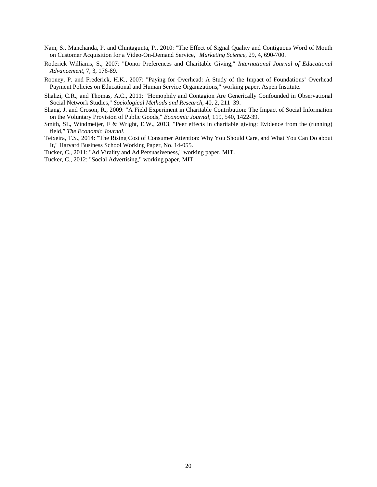- Nam, S., Manchanda, P. and Chintagunta, P., 2010: "The Effect of Signal Quality and Contiguous Word of Mouth on Customer Acquisition for a Video-On-Demand Service," *Marketing Science*, 29, 4, 690-700.
- Roderick Williams, S., 2007: "Donor Preferences and Charitable Giving," *International Journal of Educational Advancement*, 7, 3, 176-89.
- Rooney, P. and Frederick, H.K., 2007: "Paying for Overhead: A Study of the Impact of Foundations' Overhead Payment Policies on Educational and Human Service Organizations," working paper, Aspen Institute.
- Shalizi, C.R., and Thomas, A.C., 2011: "Homophily and Contagion Are Generically Confounded in Observational Social Network Studies," *Sociological Methods and Research*, 40, 2, 211–39.
- Shang, J. and Croson, R., 2009: "A Field Experiment in Charitable Contribution: The Impact of Social Information on the Voluntary Provision of Public Goods," *Economic Journal*, 119, 540, 1422-39.
- Smith, SL, Windmeijer, F & Wright, E.W., 2013, "Peer effects in charitable giving: Evidence from the (running) field," *The Economic Journal*.
- Teixeira, T.S., 2014: "The Rising Cost of Consumer Attention: Why You Should Care, and What You Can Do about It," Harvard Business School Working Paper, No. 14-055.
- Tucker, C., 2011: "Ad Virality and Ad Persuasiveness," working paper, MIT.

Tucker, C., 2012: "Social Advertising," working paper, MIT.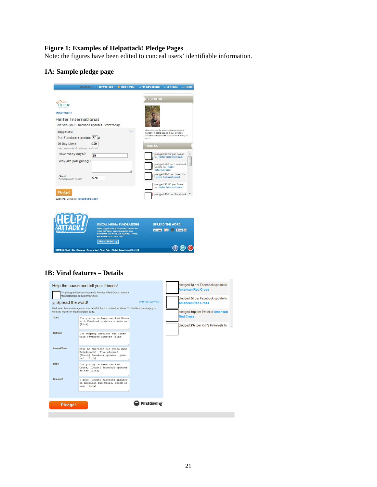#### **Figure 1: Examples of Helpattack! Pledge Pages**

Note: the figures have been edited to conceal users' identifiable information.

# **1A: Sample pledge page**

| <b>HI ANGELO</b>                                                                                            | + NEW PLEDGE!                                    | <b>O PUBLIC PAGE</b>                                                                                               | <b>Q MY DASHBOARD Q SETTINGS</b> |                                                                                                                                            | <b>n</b> LOGOUT     |
|-------------------------------------------------------------------------------------------------------------|--------------------------------------------------|--------------------------------------------------------------------------------------------------------------------|----------------------------------|--------------------------------------------------------------------------------------------------------------------------------------------|---------------------|
| Change Causes?<br><b>Heifer International</b><br>Give with your Facebook updates. Start today!              |                                                  |                                                                                                                    | <b>BE A HERO</b>                 |                                                                                                                                            |                     |
| Suggested:<br>Per Facebook update 77 ¢<br>30 Day Limit<br>Later, you can donate with your credit card.      | \$20                                             |                                                                                                                    | need<br><b>JOIN US</b>           | Give with your Facebook updates and end<br>hunger!! It costs \$20.00 to buy a flock of<br>chickens that provides nutrition for a family in |                     |
| How many days?<br>Why are you giving?                                                                       | 30                                               |                                                                                                                    |                                  | pledged \$6.67 per Tweet<br>to Heifer International<br>pledged 50¢ per Facebook<br>update to Heifer<br>International                       | ۸<br>Ξ              |
| Goal<br>Fundralsing with friends!                                                                           | \$20                                             |                                                                                                                    |                                  | pledged 34¢ per Tweet to<br>Heifer International<br>pledged \$1.00 per Tweet<br>to Heifer International                                    |                     |
| Pledge!<br>Questions? Confused? help@helpattack.com                                                         |                                                  |                                                                                                                    |                                  | pledged 43¢ per Facebook                                                                                                                   |                     |
|                                                                                                             | with HelpAttack! Raise donations and             | SOCIAL MEDIA FUNDRAISING<br>Build support from your online communities<br>awareness with Facebook updates, Tweets, | M. Ewwell 22 of                  | <b>SPREAD THE WORD!</b>                                                                                                                    | <b>El Live data</b> |
|                                                                                                             | #hashtags, blogs, and more<br><b>GET STARTED</b> |                                                                                                                    |                                  |                                                                                                                                            |                     |
| D 2012 Help Attack   Blog   Resources   Terms of Lise   Privacy Policy   Media   Contact   About Lis   FACI |                                                  |                                                                                                                    |                                  |                                                                                                                                            |                     |

#### **1B: Viral features – Details**

| <b>D</b> Spread the word!<br>delete it. We'll fill in the [bracketed] parts.<br><b>Start</b><br>Halfway<br><b>Almost Done</b><br>Done<br>Donated! | Help the cause and tell your friends!<br>I'm giving per Facebook update to American Red Cross - join me!<br>http://helpattack.com/joinme/12345<br>We'll send these messages on your behalf if the box is checked above. To disable a message, just<br>I'm giving to American Red Cross<br>with Facebook updates - join me!<br>[Link]<br>I'm helping American Red Cross<br>with Facebook updates [Link]<br>Give to American Red Cross with<br>HelpAttack! I've pledged<br>[Count] Facebook updates, join<br>me! [Link]<br>I'm giving to American Red<br>Cross, [Count] Facebook updates<br>so far [Link]<br>I gave [Count] Facebook updates<br>to American Red Cross, check it<br>out: [Link] | Write your own? (+/-) | pledged 5¢ per Facebook update to<br><b>American Red Cross</b><br>pledged 5¢ per Facebook update to<br><b>American Red Cross</b><br>pledged 50¢ per Tweet to American<br><b>Red Cross</b><br>pledged 23¢ per Kim's Pinterests to - |  |
|---------------------------------------------------------------------------------------------------------------------------------------------------|----------------------------------------------------------------------------------------------------------------------------------------------------------------------------------------------------------------------------------------------------------------------------------------------------------------------------------------------------------------------------------------------------------------------------------------------------------------------------------------------------------------------------------------------------------------------------------------------------------------------------------------------------------------------------------------------|-----------------------|------------------------------------------------------------------------------------------------------------------------------------------------------------------------------------------------------------------------------------|--|
| Pledge!                                                                                                                                           |                                                                                                                                                                                                                                                                                                                                                                                                                                                                                                                                                                                                                                                                                              | FirstGiving           |                                                                                                                                                                                                                                    |  |
|                                                                                                                                                   |                                                                                                                                                                                                                                                                                                                                                                                                                                                                                                                                                                                                                                                                                              |                       |                                                                                                                                                                                                                                    |  |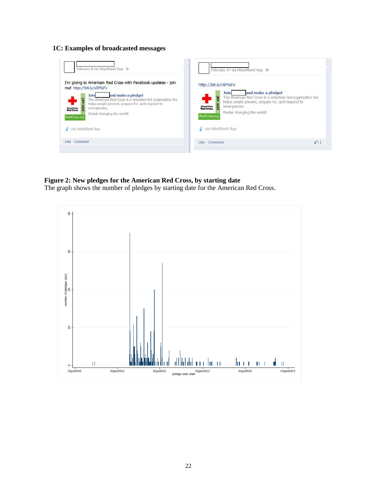#### **1C: Examples of broadcasted messages**



### **Figure 2: New pledges for the American Red Cross, by starting date**

The graph shows the number of pledges by starting date for the American Red Cross.

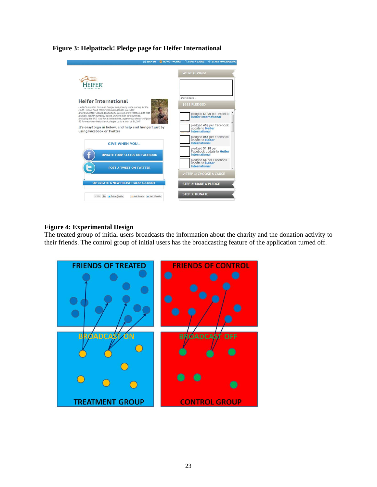#### **Figure 3: Helpattack! Pledge page for Heifer International**



# **Figure 4: Experimental Design**

The treated group of initial users broadcasts the information about the charity and the donation activity to their friends. The control group of initial users has the broadcasting feature of the application turned off.

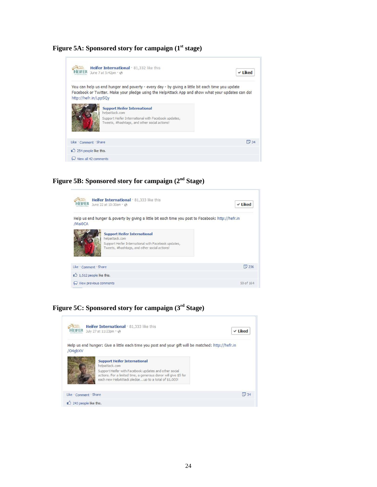Figure 5A: Sponsored story for campaign (1<sup>st</sup> stage)

| IFIF                   | Heifer International . 81,332 like this<br>June 7 at 5:42pm · @                                                                                                                                       | $\vee$ Liked |
|------------------------|-------------------------------------------------------------------------------------------------------------------------------------------------------------------------------------------------------|--------------|
| http://hefr.in/LppSQy  | You can help us end hunger and poverty - every day - by giving a little bit each time you update<br>Facebook or Twitter. Make your pledge using the HelpAttack App and show what your updates can do! |              |
|                        | <b>Support Heifer International</b><br>helpattack.com<br>Support Heifer International with Facebook updates,<br>Tweets, #hashtags, and other social actions!                                          |              |
| Like . Comment . Share |                                                                                                                                                                                                       | $\sqrt{34}$  |
| 254 people like this.  |                                                                                                                                                                                                       |              |
| View all 42 comments   |                                                                                                                                                                                                       |              |

**Figure 5B: Sponsored story for campaign (2nd Stage)**



**Figure 5C: Sponsored story for campaign (3rd Stage)**

|         | $ER$ July 27 at 11:23pm $\cdot \circledast$                                                                                                                                                                                              | $\times$ Liked |
|---------|------------------------------------------------------------------------------------------------------------------------------------------------------------------------------------------------------------------------------------------|----------------|
| /04abXV | Help us end hunger: Give a little each time you post and your gift will be matched: http://hefr.in                                                                                                                                       |                |
|         | <b>Support Heifer International</b><br>helpattack.com<br>Support Heifer with Facebook updates and other social<br>actions. For a limited time, a generous donor will give \$5 for<br>each new HelpAttack pledgeup to a total of \$1,000! |                |
|         | Like Comment Share                                                                                                                                                                                                                       | $\boxed{34}$   |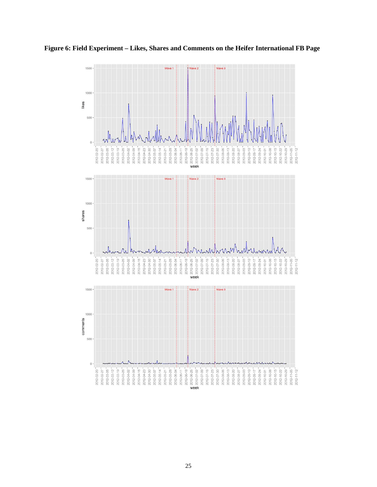

**Figure 6: Field Experiment – Likes, Shares and Comments on the Heifer International FB Page**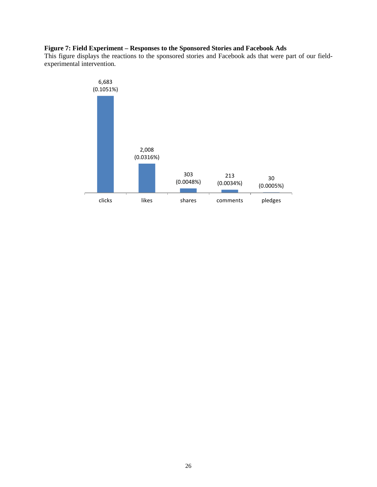# **Figure 7: Field Experiment – Responses to the Sponsored Stories and Facebook Ads**

This figure displays the reactions to the sponsored stories and Facebook ads that were part of our fieldexperimental intervention.

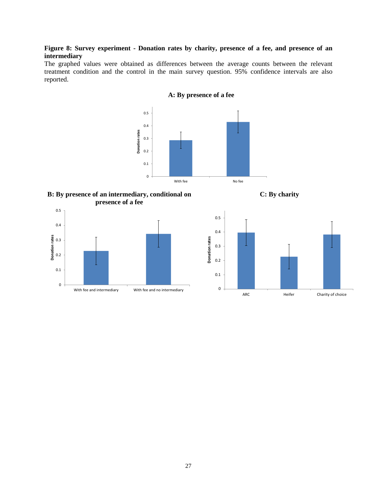### **Figure 8: Survey experiment - Donation rates by charity, presence of a fee, and presence of an intermediary**

The graphed values were obtained as differences between the average counts between the relevant treatment condition and the control in the main survey question. 95% confidence intervals are also reported.



**A: By presence of a fee**

**B: By presence of an intermediary, conditional on presence of a fee**

**C: By charity**



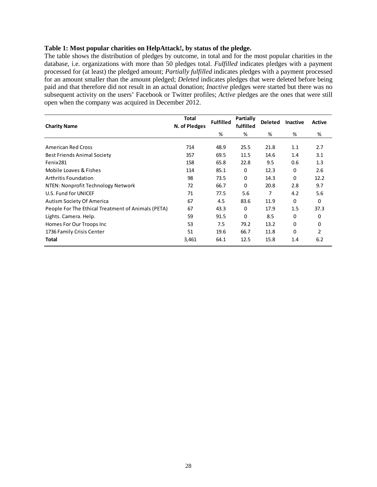#### **Table 1: Most popular charities on HelpAttack!, by status of the pledge.**

The table shows the distribution of pledges by outcome, in total and for the most popular charities in the database, i.e. organizations with more than 50 pledges total. *Fulfilled* indicates pledges with a payment processed for (at least) the pledged amount; *Partially fulfilled* indicates pledges with a payment processed for an amount smaller than the amount pledged; *Deleted* indicates pledges that were deleted before being paid and that therefore did not result in an actual donation; *Inactive* pledges were started but there was no subsequent activity on the users' Facebook or Twitter profiles; *Active* pledges are the ones that were still open when the company was acquired in December 2012.

| <b>Charity Name</b>                                | Total<br>N. of Pledges | <b>Fulfilled</b> | Partially<br>fulfilled | <b>Deleted</b> | <b>Inactive</b> | Active |
|----------------------------------------------------|------------------------|------------------|------------------------|----------------|-----------------|--------|
|                                                    |                        | %                | %                      | %              | %               | %      |
| <b>American Red Cross</b>                          | 714                    | 48.9             | 25.5                   | 21.8           | 1.1             | 2.7    |
| <b>Best Friends Animal Society</b>                 | 357                    | 69.5             | 11.5                   | 14.6           | 1.4             | 3.1    |
| Fenix281                                           | 158                    | 65.8             | 22.8                   | 9.5            | 0.6             | 1.3    |
| Mobile Loaves & Fishes                             | 114                    | 85.1             | 0                      | 12.3           | 0               | 2.6    |
| <b>Arthritis Foundation</b>                        | 98                     | 73.5             | 0                      | 14.3           | 0               | 12.2   |
| NTEN: Nonprofit Technology Network                 | 72                     | 66.7             | 0                      | 20.8           | 2.8             | 9.7    |
| U.S. Fund for UNICEF                               | 71                     | 77.5             | 5.6                    | 7              | 4.2             | 5.6    |
| Autism Society Of America                          | 67                     | 4.5              | 83.6                   | 11.9           | 0               | 0      |
| People For The Ethical Treatment of Animals (PETA) | 67                     | 43.3             | 0                      | 17.9           | 1.5             | 37.3   |
| Lights. Camera. Help.                              | 59                     | 91.5             | $\Omega$               | 8.5            | 0               | 0      |
| Homes For Our Troops Inc                           | 53                     | 7.5              | 79.2                   | 13.2           | 0               | 0      |
| 1736 Family Crisis Center                          | 51                     | 19.6             | 66.7                   | 11.8           | 0               | 2      |
| Total                                              | 3,461                  | 64.1             | 12.5                   | 15.8           | 1.4             | 6.2    |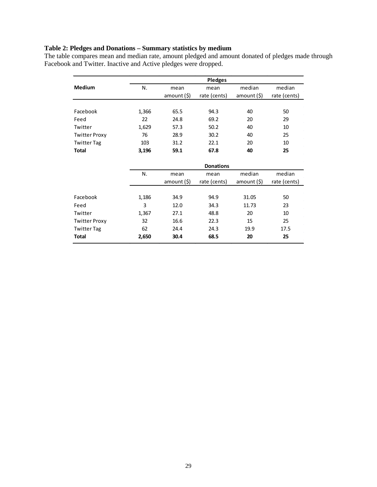#### **Table 2: Pledges and Donations – Summary statistics by medium**

The table compares mean and median rate, amount pledged and amount donated of pledges made through Facebook and Twitter. Inactive and Active pledges were dropped.

|                      |       |                | <b>Pledges</b>   |              |              |
|----------------------|-------|----------------|------------------|--------------|--------------|
| <b>Medium</b>        | N.    | mean           | mean             | median       | median       |
|                      |       | amount $($ \$) | rate (cents)     | amount $(5)$ | rate (cents) |
|                      |       |                |                  |              |              |
| Facebook             | 1,366 | 65.5           | 94.3             | 40           | 50           |
| Feed                 | 22    | 24.8           | 69.2             | 20           | 29           |
| Twitter              | 1,629 | 57.3           | 50.2             | 40           | 10           |
| <b>Twitter Proxy</b> | 76    | 28.9           | 30.2             | 40           | 25           |
| <b>Twitter Tag</b>   | 103   | 31.2           | 22.1             | 20           | 10           |
| <b>Total</b>         | 3,196 | 59.1           | 67.8             | 40           | 25           |
|                      |       |                |                  |              |              |
|                      |       |                | <b>Donations</b> |              |              |
|                      | N.    | mean           | mean             | median       | median       |
|                      |       | amount (\$)    | rate (cents)     | amount(5)    | rate (cents) |
|                      |       |                |                  |              |              |
| Facebook             | 1,186 | 34.9           | 94.9             | 31.05        | 50           |
| Feed                 | 3     | 12.0           | 34.3             | 11.73        | 23           |
| Twitter              | 1,367 | 27.1           | 48.8             | 20           | 10           |
| <b>Twitter Proxy</b> | 32    | 16.6           | 22.3             | 15           | 25           |
| <b>Twitter Tag</b>   | 62    | 24.4           | 24.3             | 19.9         | 17.5         |
| Total                | 2,650 | 30.4           | 68.5             | 20           | 25           |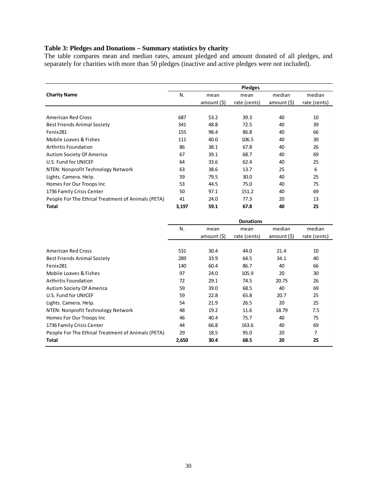#### **Table 3: Pledges and Donations – Summary statistics by charity**

The table compares mean and median rates, amount pledged and amount donated of all pledges, and separately for charities with more than 50 pledges (inactive and active pledges were not included).

|                                                    | <b>Pledges</b> |                     |                      |                       |                        |  |  |
|----------------------------------------------------|----------------|---------------------|----------------------|-----------------------|------------------------|--|--|
| <b>Charity Name</b>                                | N.             | mean<br>amount (\$) | mean<br>rate (cents) | median<br>amount (\$) | median<br>rate (cents) |  |  |
|                                                    |                |                     |                      |                       |                        |  |  |
| <b>American Red Cross</b>                          | 687            | 53.2                | 39.3                 | 40                    | 10                     |  |  |
| <b>Best Friends Animal Society</b>                 | 341            | 48.8                | 72.5                 | 40                    | 39                     |  |  |
| Fenix281                                           | 155            | 98.4                | 86.8                 | 40                    | 66                     |  |  |
| Mobile Loaves & Fishes                             | 111            | 40.0                | 106.5                | 40                    | 30                     |  |  |
| Arthritis Foundation                               | 86             | 38.1                | 67.8                 | 40                    | 26                     |  |  |
| Autism Society Of America                          | 67             | 39.1                | 68.7                 | 40                    | 69                     |  |  |
| U.S. Fund for UNICEF                               | 64             | 33.6                | 62.4                 | 40                    | 25                     |  |  |
| NTEN: Nonprofit Technology Network                 | 63             | 38.6                | 13.7                 | 25                    | 6                      |  |  |
| Lights. Camera. Help.                              | 59             | 79.5                | 30.0                 | 40                    | 25                     |  |  |
| Homes For Our Troops Inc                           | 53             | 44.5                | 75.0                 | 40                    | 75                     |  |  |
| 1736 Family Crisis Center                          | 50             | 97.1                | 151.2                | 40                    | 69                     |  |  |
| People For The Ethical Treatment of Animals (PETA) | 41             | 24.0                | 77.3                 | 20                    | 13                     |  |  |
| Total                                              | 3,197          | 59.1                | 67.8                 | 40                    | 25                     |  |  |

|                                                    | <b>Donations</b> |             |              |             |              |
|----------------------------------------------------|------------------|-------------|--------------|-------------|--------------|
|                                                    | N.               | mean        | mean         | median      | median       |
|                                                    |                  | amount (\$) | rate (cents) | amount (\$) | rate (cents) |
|                                                    |                  |             |              |             |              |
| American Red Cross                                 | 531              | 30.4        | 44.0         | 21.4        | 10           |
| <b>Best Friends Animal Society</b>                 | 289              | 33.9        | 64.5         | 34.1        | 40           |
| Fenix281                                           | 140              | 60.4        | 86.7         | 40          | 66           |
| Mobile Loaves & Fishes                             | 97               | 24.0        | 105.9        | 20          | 30           |
| <b>Arthritis Foundation</b>                        | 72               | 29.1        | 74.5         | 20.75       | 26           |
| Autism Society Of America                          | 59               | 39.0        | 68.5         | 40          | 69           |
| U.S. Fund for UNICEF                               | 59               | 22.8        | 65.8         | 20.7        | 25           |
| Lights. Camera. Help.                              | 54               | 21.9        | 26.5         | 20          | 25           |
| NTEN: Nonprofit Technology Network                 | 48               | 19.2        | 11.6         | 18.79       | 7.5          |
| Homes For Our Troops Inc                           | 46               | 40.4        | 75.7         | 40          | 75           |
| 1736 Family Crisis Center                          | 44               | 66.8        | 163.6        | 40          | 69           |
| People For The Ethical Treatment of Animals (PETA) | 29               | 18.5        | 95.0         | 20          | 7            |
| Total                                              | 2,650            | 30.4        | 68.5         | 20          | 25           |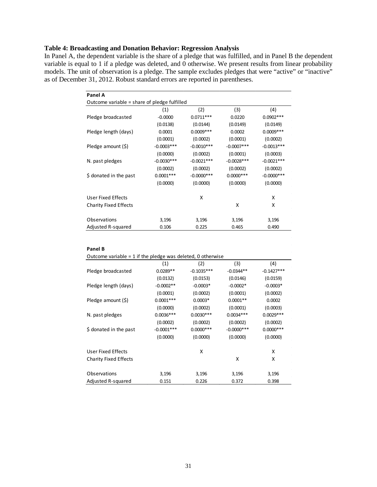# **Table 4: Broadcasting and Donation Behavior: Regression Analysis**

In Panel A, the dependent variable is the share of a pledge that was fulfilled, and in Panel B the dependent variable is equal to 1 if a pledge was deleted, and 0 otherwise. We present results from linear probability models. The unit of observation is a pledge. The sample excludes pledges that were "active" or "inactive" as of December 31, 2012. Robust standard errors are reported in parentheses.

| Panel A                                      |              |               |              |               |
|----------------------------------------------|--------------|---------------|--------------|---------------|
| Outcome variable = share of pledge fulfilled |              |               |              |               |
|                                              | (1)          | (2)           | (3)          | (4)           |
| Pledge broadcasted                           | $-0.0000$    | $0.0711***$   | 0.0220       | $0.0902***$   |
|                                              | (0.0138)     | (0.0144)      | (0.0149)     | (0.0149)      |
| Pledge length (days)                         | 0.0001       | $0.0009***$   | 0.0002       | $0.0009***$   |
|                                              | (0.0001)     | (0.0002)      | (0.0001)     | (0.0002)      |
| Pledge amount (\$)                           | $-0.0003***$ | $-0.0010***$  | $-0.0007***$ | $-0.0013***$  |
|                                              | (0.0000)     | (0.0002)      | (0.0001)     | (0.0003)      |
| N. past pledges                              | $-0.0030***$ | $-0.0021***$  | $-0.0028***$ | $-0.0021***$  |
|                                              | (0.0002)     | (0.0002)      | (0.0002)     | (0.0002)      |
| \$ donated in the past                       | $0.0001***$  | $-0.0000$ *** | $0.0000$ *** | $-0.0000$ *** |
|                                              | (0.0000)     | (0.0000)      | (0.0000)     | (0.0000)      |
| User Fixed Effects                           |              | x             |              | x             |
| <b>Charity Fixed Effects</b>                 |              |               | X            | x             |
| Observations                                 | 3,196        | 3,196         | 3,196        | 3,196         |
| Adjusted R-squared                           | 0.106        | 0.225         | 0.465        | 0.490         |
|                                              |              |               |              |               |

|                              | (1)          | (2)          | (3)           | (4)          |
|------------------------------|--------------|--------------|---------------|--------------|
| Pledge broadcasted           | $0.0289**$   | $-0.1035***$ | $-0.0344**$   | $-0.1427***$ |
|                              | (0.0132)     | (0.0153)     | (0.0146)      | (0.0159)     |
| Pledge length (days)         | $-0.0002**$  | $-0.0003*$   | $-0.0002*$    | $-0.0003*$   |
|                              | (0.0001)     | (0.0002)     | (0.0001)      | (0.0002)     |
| Pledge amount (\$)           | $0.0001***$  | $0.0003*$    | $0.0001**$    | 0.0002       |
|                              | (0.0000)     | (0.0002)     | (0.0001)      | (0.0003)     |
| N. past pledges              | $0.0036***$  | $0.0030***$  | $0.0034***$   | $0.0029***$  |
|                              | (0.0002)     | (0.0002)     | (0.0002)      | (0.0002)     |
| \$ donated in the past       | $-0.0001***$ | $0.0000***$  | $-0.0000$ *** | $0.0000***$  |
|                              | (0.0000)     | (0.0000)     | (0.0000)      | (0.0000)     |
| User Fixed Effects           |              | x            |               | X            |
| <b>Charity Fixed Effects</b> |              |              | x             | x            |
| Observations                 | 3,196        | 3,196        | 3,196         | 3,196        |
| Adjusted R-squared           | 0.151        | 0.226        | 0.372         | 0.398        |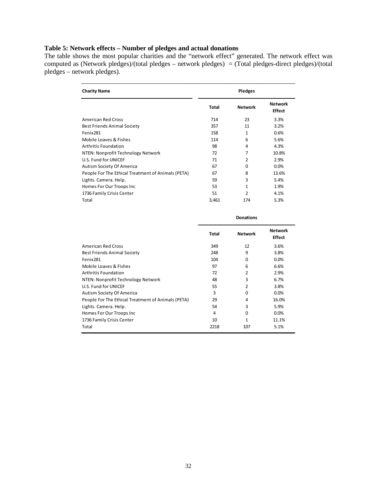# **Table 5: Network effects – Number of pledges and actual donations**

The table shows the most popular charities and the "network effect" generated. The network effect was computed as (Network pledges)/(total pledges – network pledges) = (Total pledges-direct pledges)/(total pledges – network pledges).

| <b>Charity Name</b>                                |              | <b>Pledges</b> |                                 |
|----------------------------------------------------|--------------|----------------|---------------------------------|
|                                                    | <b>Total</b> | <b>Network</b> | <b>Network</b><br><b>Effect</b> |
| American Red Cross                                 | 714          | 23             | 3.3%                            |
| <b>Best Friends Animal Society</b>                 | 357          | 11             | 3.2%                            |
| Fenix281                                           | 158          | 1              | 0.6%                            |
| Mobile Loaves & Fishes                             | 114          | 6              | 5.6%                            |
| Arthritis Foundation                               | 98           | 4              | 4.3%                            |
| NTEN: Nonprofit Technology Network                 | 72           | 7              | 10.8%                           |
| U.S. Fund for UNICEF                               | 71           | $\mathcal{P}$  | 2.9%                            |
| Autism Society Of America                          | 67           | 0              | 0.0%                            |
| People For The Ethical Treatment of Animals (PETA) | 67           | 8              | 13.6%                           |
| Lights. Camera. Help.                              | 59           | 3              | 5.4%                            |
| Homes For Our Troops Inc                           | 53           | 1              | 1.9%                            |
| 1736 Family Crisis Center                          | 51           | 2              | 4.1%                            |
| Total                                              | 3,461        | 174            | 5.3%                            |

|                                                    | <b>Donations</b> |                |                                 |
|----------------------------------------------------|------------------|----------------|---------------------------------|
|                                                    | <b>Total</b>     | <b>Network</b> | <b>Network</b><br><b>Effect</b> |
| <b>American Red Cross</b>                          | 349              | 12             | 3.6%                            |
| <b>Best Friends Animal Society</b>                 | 248              | 9              | 3.8%                            |
| Fenix281                                           | 104              | $\Omega$       | 0.0%                            |
| Mobile Loaves & Fishes                             | 97               | 6              | 6.6%                            |
| Arthritis Foundation                               | 72               | 2              | 2.9%                            |
| NTEN: Nonprofit Technology Network                 | 48               | 3              | 6.7%                            |
| U.S. Fund for UNICEF                               | 55               | 2              | 3.8%                            |
| Autism Society Of America                          | 3                | <sup>0</sup>   | 0.0%                            |
| People For The Ethical Treatment of Animals (PETA) | 29               | 4              | 16.0%                           |
| Lights. Camera. Help.                              | 54               | 3              | 5.9%                            |
| Homes For Our Troops Inc                           | 4                | $\Omega$       | 0.0%                            |
| 1736 Family Crisis Center                          | 10               | 1              | 11.1%                           |
| Total                                              | 2218             | 107            | 5.1%                            |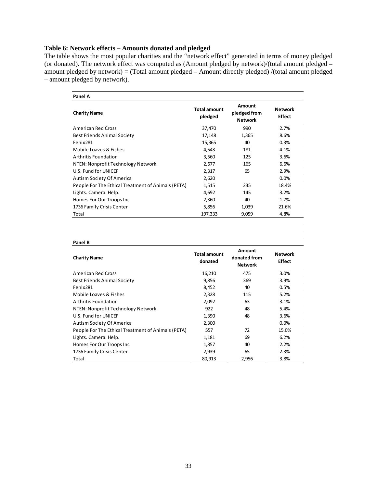## **Table 6: Network effects – Amounts donated and pledged**

The table shows the most popular charities and the "network effect" generated in terms of money pledged (or donated). The network effect was computed as (Amount pledged by network)/(total amount pledged – amount pledged by network) = (Total amount pledged – Amount directly pledged) /(total amount pledged – amount pledged by network).

| Panel A                                            |                                |                                          |                                 |
|----------------------------------------------------|--------------------------------|------------------------------------------|---------------------------------|
| <b>Charity Name</b>                                | <b>Total amount</b><br>pledged | Amount<br>pledged from<br><b>Network</b> | <b>Network</b><br><b>Effect</b> |
| American Red Cross                                 | 37,470                         | 990                                      | 2.7%                            |
| <b>Best Friends Animal Society</b>                 | 17,148                         | 1,365                                    | 8.6%                            |
| Fenix281                                           | 15,365                         | 40                                       | 0.3%                            |
| Mobile Loaves & Fishes                             | 4,543                          | 181                                      | 4.1%                            |
| Arthritis Foundation                               | 3,560                          | 125                                      | 3.6%                            |
| NTEN: Nonprofit Technology Network                 | 2,677                          | 165                                      | 6.6%                            |
| U.S. Fund for UNICEF                               | 2,317                          | 65                                       | 2.9%                            |
| Autism Society Of America                          | 2,620                          |                                          | $0.0\%$                         |
| People For The Ethical Treatment of Animals (PETA) | 1,515                          | 235                                      | 18.4%                           |
| Lights. Camera. Help.                              | 4,692                          | 145                                      | 3.2%                            |
| Homes For Our Troops Inc                           | 2,360                          | 40                                       | 1.7%                            |
| 1736 Family Crisis Center                          | 5,856                          | 1,039                                    | 21.6%                           |
| Total                                              | 197,333                        | 9,059                                    | 4.8%                            |

#### **Panel B**

| <b>Charity Name</b>                                | <b>Total amount</b><br>donated | Amount<br>donated from<br><b>Network</b> | <b>Network</b><br><b>Effect</b> |
|----------------------------------------------------|--------------------------------|------------------------------------------|---------------------------------|
| American Red Cross                                 | 16,210                         | 475                                      | 3.0%                            |
| <b>Best Friends Animal Society</b>                 | 9,856                          | 369                                      | 3.9%                            |
| Fenix281                                           | 8,452                          | 40                                       | 0.5%                            |
| Mobile Loaves & Fishes                             | 2,328                          | 115                                      | 5.2%                            |
| Arthritis Foundation                               | 2,092                          | 63                                       | 3.1%                            |
| NTEN: Nonprofit Technology Network                 | 922                            | 48                                       | 5.4%                            |
| U.S. Fund for UNICEF                               | 1,390                          | 48                                       | 3.6%                            |
| Autism Society Of America                          | 2,300                          |                                          | $0.0\%$                         |
| People For The Ethical Treatment of Animals (PETA) | 557                            | 72                                       | 15.0%                           |
| Lights. Camera. Help.                              | 1,181                          | 69                                       | 6.2%                            |
| Homes For Our Troops Inc                           | 1,857                          | 40                                       | 2.2%                            |
| 1736 Family Crisis Center                          | 2,939                          | 65                                       | 2.3%                            |
| Total                                              | 80,913                         | 2,956                                    | 3.8%                            |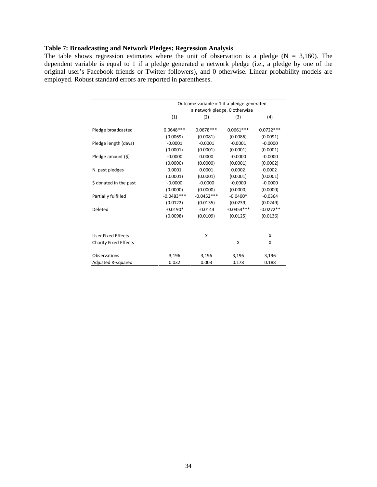# **Table 7: Broadcasting and Network Pledges: Regression Analysis**

The table shows regression estimates where the unit of observation is a pledge ( $N = 3,160$ ). The dependent variable is equal to 1 if a pledge generated a network pledge (i.e., a pledge by one of the original user's Facebook friends or Twitter followers), and 0 otherwise. Linear probability models are employed. Robust standard errors are reported in parentheses.

|                              |              |              | Outcome variable = $1$ if a pledge generated |             |
|------------------------------|--------------|--------------|----------------------------------------------|-------------|
|                              |              |              | a network pledge, 0 otherwise                |             |
|                              | (1)          | (2)          | (3)                                          | (4)         |
|                              |              |              |                                              |             |
| Pledge broadcasted           | $0.0648***$  | $0.0678***$  | $0.0661***$                                  | $0.0722***$ |
|                              | (0.0069)     | (0.0081)     | (0.0086)                                     | (0.0091)    |
| Pledge length (days)         | $-0.0001$    | $-0.0001$    | $-0.0001$                                    | $-0.0000$   |
|                              | (0.0001)     | (0.0001)     | (0.0001)                                     | (0.0001)    |
| Pledge amount (\$)           | $-0.0000$    | 0.0000       | $-0.0000$                                    | $-0.0000$   |
|                              | (0.0000)     | (0.0000)     | (0.0001)                                     | (0.0002)    |
| N. past pledges              | 0.0001       | 0.0001       | 0.0002                                       | 0.0002      |
|                              | (0.0001)     | (0.0001)     | (0.0001)                                     | (0.0001)    |
| \$ donated in the past       | $-0.0000$    | $-0.0000$    | $-0.0000$                                    | $-0.0000$   |
|                              | (0.0000)     | (0.0000)     | (0.0000)                                     | (0.0000)    |
| Partially fulfilled          | $-0.0483***$ | $-0.0452***$ | $-0.0400*$                                   | $-0.0364$   |
|                              | (0.0122)     | (0.0135)     | (0.0239)                                     | (0.0249)    |
| Deleted                      | $-0.0190*$   | $-0.0143$    | $-0.0354***$                                 | $-0.0272**$ |
|                              | (0.0098)     | (0.0109)     | (0.0125)                                     | (0.0136)    |
|                              |              |              |                                              |             |
|                              |              |              |                                              |             |
| <b>User Fixed Effects</b>    |              | X            |                                              | X           |
| <b>Charity Fixed Effects</b> |              |              | X                                            | X           |
|                              |              |              |                                              |             |
| Observations                 | 3,196        | 3,196        | 3,196                                        | 3,196       |
| Adjusted R-squared           | 0.032        | 0.003        | 0.178                                        | 0.188       |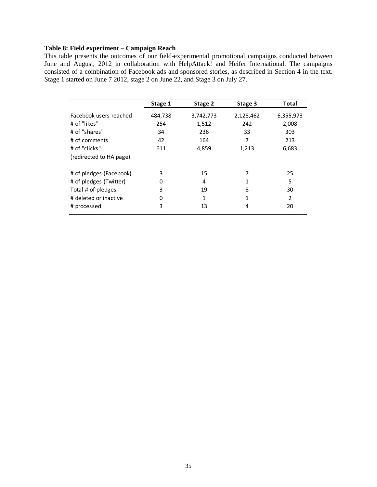# **Table 8: Field experiment – Campaign Reach**

This table presents the outcomes of our field-experimental promotional campaigns conducted between June and August, 2012 in collaboration with HelpAttack! and Heifer International. The campaigns consisted of a combination of Facebook ads and sponsored stories, as described in Section 4 in the text. Stage 1 started on June 7 2012, stage 2 on June 22, and Stage 3 on July 27.

|                         | Stage 1 | Stage 2   | Stage 3   | <b>Total</b> |
|-------------------------|---------|-----------|-----------|--------------|
| Facebook users reached  | 484,738 | 3,742,773 | 2,128,462 | 6,355,973    |
| # of "likes"            | 254     | 1,512     | 242       | 2,008        |
| # of "shares"           | 34      | 236       | 33        | 303          |
| # of comments           | 42      | 164       | 7         | 213          |
| # of "clicks"           | 611     | 4,859     | 1,213     | 6,683        |
| (redirected to HA page) |         |           |           |              |
| # of pledges (Facebook) | 3       | 15        | 7         | 25           |
| # of pledges (Twitter)  | 0       | 4         | 1         | 5            |
| Total # of pledges      | 3       | 19        | 8         | 30           |
| # deleted or inactive   | 0       | 1         | 1         | 2            |
| # processed             | 3       | 13        | 4         | 20           |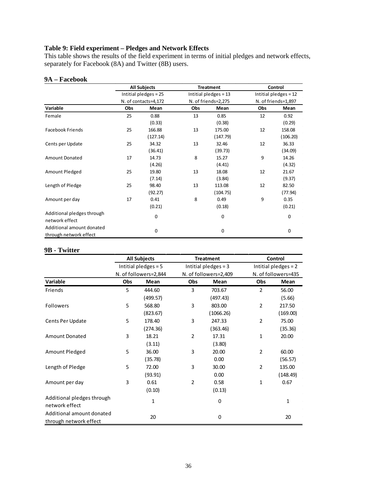#### **Table 9: Field experiment – Pledges and Network Effects**

This table shows the results of the field experiment in terms of initial pledges and network effects, separately for Facebook (8A) and Twitter (8B) users.

# **9A – Facebook**

|                            |                      | <b>All Subjects</b>   | <b>Treatment</b> |                       | Control               |          |  |
|----------------------------|----------------------|-----------------------|------------------|-----------------------|-----------------------|----------|--|
|                            |                      | Intitial pledges = 25 |                  | Intitial pledges = 13 | Intitial pledges = 12 |          |  |
|                            | N. of contacts=4,172 |                       |                  | N. of friends=2,275   | N. of friends=1,897   |          |  |
| Variable                   | Obs                  | Mean                  | Obs              | Mean                  | Obs                   | Mean     |  |
| Female                     | 25                   | 0.88                  | 13               | 0.85                  | 12                    | 0.92     |  |
|                            |                      | (0.33)                |                  | (0.38)                |                       | (0.29)   |  |
| <b>Facebook Friends</b>    | 25                   | 166.88                | 13               | 175.00                | 12                    | 158.08   |  |
|                            |                      | (127.14)              |                  | (147.79)              |                       | (106.20) |  |
| Cents per Update           | 25                   | 34.32                 | 13               | 32.46                 | 12                    | 36.33    |  |
|                            |                      | (36.41)               |                  | (39.73)               |                       | (34.09)  |  |
| <b>Amount Donated</b>      | 17                   | 14.73                 | 8                | 15.27                 | 9                     | 14.26    |  |
|                            |                      | (4.26)                |                  | (4.41)                |                       | (4.32)   |  |
| Amount Pledged             | 25                   | 19.80                 | 13               | 18.08                 | 12                    | 21.67    |  |
|                            |                      | (7.14)                |                  | (3.84)                |                       | (9.37)   |  |
| Length of Pledge           | 25                   | 98.40                 | 13               | 113.08                | 12                    | 82.50    |  |
|                            |                      | (92.27)               |                  | (104.75)              |                       | (77.94)  |  |
| Amount per day             | 17                   | 0.41                  | 8                | 0.49                  | 9                     | 0.35     |  |
|                            |                      | (0.21)                |                  | (0.18)                |                       | (0.21)   |  |
| Additional pledges through |                      | $\pmb{0}$             |                  | 0                     |                       | 0        |  |
| network effect             |                      |                       |                  |                       |                       |          |  |
| Additional amount donated  |                      |                       |                  |                       |                       |          |  |
| through network effect     |                      | 0                     |                  | 0                     |                       | 0        |  |

### **9B - Twitter**

|                            | <b>All Subjects</b>   |              |                | <b>Treatment</b>       | Control             |                      |  |  |
|----------------------------|-----------------------|--------------|----------------|------------------------|---------------------|----------------------|--|--|
|                            | Intitial pledges = 5  |              |                | Intitial pledges = $3$ |                     | Intitial pledges = 2 |  |  |
|                            | N. of followers=2,844 |              |                | N. of followers=2,409  | N. of followers=435 |                      |  |  |
| Variable                   | Obs                   | Mean         | Obs            | Mean                   | Obs                 | Mean                 |  |  |
| Friends                    | 5                     | 444.60       | 3              | 703.67                 | $\overline{2}$      | 56.00                |  |  |
|                            |                       | (499.57)     |                | (497.43)               |                     | (5.66)               |  |  |
| <b>Followers</b>           | 5                     | 568.80       | 3              | 803.00                 | $\overline{2}$      | 217.50               |  |  |
|                            |                       | (823.67)     |                | (1066.26)              |                     | (169.00)             |  |  |
| Cents Per Update           | 5                     | 178.40       | 3              | 247.33                 | $\overline{2}$      | 75.00                |  |  |
|                            |                       | (274.36)     |                | (363.46)               |                     | (35.36)              |  |  |
| <b>Amount Donated</b>      | 3                     | 18.21        | $\overline{2}$ | 17.31                  | 1                   | 20.00                |  |  |
|                            |                       | (3.11)       |                | (3.80)                 |                     |                      |  |  |
| Amount Pledged             | 5                     | 36.00        | 3              | 20.00                  | $\overline{2}$      | 60.00                |  |  |
|                            |                       | (35.78)      |                | 0.00                   |                     | (56.57)              |  |  |
| Length of Pledge           | 5                     | 72.00        | 3              | 30.00                  | $\overline{2}$      | 135.00               |  |  |
|                            |                       | (93.91)      |                | 0.00                   |                     | (148.49)             |  |  |
| Amount per day             | 3                     | 0.61         | $\overline{2}$ | 0.58                   | 1                   | 0.67                 |  |  |
|                            |                       | (0.10)       |                | (0.13)                 |                     |                      |  |  |
| Additional pledges through |                       | $\mathbf{1}$ |                | 0                      |                     | 1                    |  |  |
| network effect             |                       |              |                |                        |                     |                      |  |  |
| Additional amount donated  |                       | 20           |                | 0                      |                     | 20                   |  |  |
| through network effect     |                       |              |                |                        |                     |                      |  |  |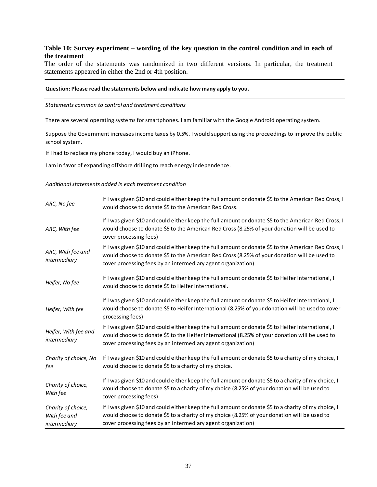#### **Table 10: Survey experiment – wording of the key question in the control condition and in each of the treatment**

The order of the statements was randomized in two different versions. In particular, the treatment statements appeared in either the 2nd or 4th position.

#### **Question: Please read the statements below and indicate how many apply to you.**

#### *Statements common to control and treatment conditions*

There are several operating systems for smartphones. I am familiar with the Google Android operating system.

Suppose the Government increases income taxes by 0.5%. I would support using the proceedings to improve the public school system.

If I had to replace my phone today, I would buy an iPhone.

I am in favor of expanding offshore drilling to reach energy independence.

#### *Additional statements added in each treatment condition*

| ARC, No fee                                        | If I was given \$10 and could either keep the full amount or donate \$5 to the American Red Cross, I<br>would choose to donate \$5 to the American Red Cross.                                                                                                        |
|----------------------------------------------------|----------------------------------------------------------------------------------------------------------------------------------------------------------------------------------------------------------------------------------------------------------------------|
| ARC, With fee                                      | If I was given \$10 and could either keep the full amount or donate \$5 to the American Red Cross, I<br>would choose to donate \$5 to the American Red Cross (8.25% of your donation will be used to<br>cover processing fees)                                       |
| ARC, With fee and<br>intermediary                  | If I was given \$10 and could either keep the full amount or donate \$5 to the American Red Cross, I<br>would choose to donate \$5 to the American Red Cross (8.25% of your donation will be used to<br>cover processing fees by an intermediary agent organization) |
| Heifer, No fee                                     | If I was given \$10 and could either keep the full amount or donate \$5 to Heifer International, I<br>would choose to donate \$5 to Heifer International.                                                                                                            |
| Heifer, With fee                                   | If I was given \$10 and could either keep the full amount or donate \$5 to Heifer International, I<br>would choose to donate \$5 to Heifer International (8.25% of your donation will be used to cover<br>processing fees)                                           |
| Heifer, With fee and<br>intermediary               | If I was given \$10 and could either keep the full amount or donate \$5 to Heifer International, I<br>would choose to donate \$5 to the Heifer International (8.25% of your donation will be used to<br>cover processing fees by an intermediary agent organization) |
| Charity of choice, No<br>fee                       | If I was given \$10 and could either keep the full amount or donate \$5 to a charity of my choice, I<br>would choose to donate \$5 to a charity of my choice.                                                                                                        |
| Charity of choice,<br>With fee                     | If I was given \$10 and could either keep the full amount or donate \$5 to a charity of my choice, I<br>would choose to donate \$5 to a charity of my choice (8.25% of your donation will be used to<br>cover processing fees)                                       |
| Charity of choice,<br>With fee and<br>intermediary | If I was given \$10 and could either keep the full amount or donate \$5 to a charity of my choice, I<br>would choose to donate \$5 to a charity of my choice (8.25% of your donation will be used to<br>cover processing fees by an intermediary agent organization) |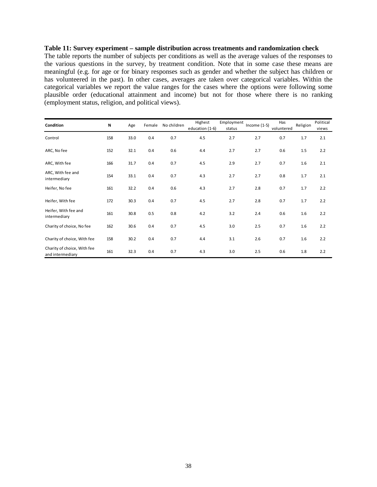#### **Table 11: Survey experiment – sample distribution across treatments and randomization check**

The table reports the number of subjects per conditions as well as the average values of the responses to the various questions in the survey, by treatment condition. Note that in some case these means are meaningful (e.g. for age or for binary responses such as gender and whether the subject has children or has volunteered in the past). In other cases, averages are taken over categorical variables. Within the categorical variables we report the value ranges for the cases where the options were following some plausible order (educational attainment and income) but not for those where there is no ranking (employment status, religion, and political views).

| Condition                                       | N   | Age  | Female | No children | Highest<br>education (1-6) | Employment<br>status | Income $(1-5)$ | Has<br>voluntered | Religion | Political<br>views |
|-------------------------------------------------|-----|------|--------|-------------|----------------------------|----------------------|----------------|-------------------|----------|--------------------|
| Control                                         | 158 | 33.0 | 0.4    | 0.7         | 4.5                        | 2.7                  | 2.7            | 0.7               | 1.7      | 2.1                |
| ARC, No fee                                     | 152 | 32.1 | 0.4    | 0.6         | 4.4                        | 2.7                  | 2.7            | 0.6               | 1.5      | 2.2                |
| ARC, With fee                                   | 166 | 31.7 | 0.4    | 0.7         | 4.5                        | 2.9                  | 2.7            | 0.7               | 1.6      | 2.1                |
| ARC, With fee and<br>intermediary               | 154 | 33.1 | 0.4    | 0.7         | 4.3                        | 2.7                  | 2.7            | 0.8               | 1.7      | 2.1                |
| Heifer, No fee                                  | 161 | 32.2 | 0.4    | 0.6         | 4.3                        | 2.7                  | 2.8            | 0.7               | 1.7      | 2.2                |
| Heifer, With fee                                | 172 | 30.3 | 0.4    | 0.7         | 4.5                        | 2.7                  | 2.8            | 0.7               | 1.7      | 2.2                |
| Heifer, With fee and<br>intermediary            | 161 | 30.8 | 0.5    | 0.8         | 4.2                        | 3.2                  | 2.4            | 0.6               | 1.6      | 2.2                |
| Charity of choice, No fee                       | 162 | 30.6 | 0.4    | 0.7         | 4.5                        | 3.0                  | 2.5            | 0.7               | 1.6      | 2.2                |
| Charity of choice, With fee                     | 158 | 30.2 | 0.4    | 0.7         | 4.4                        | 3.1                  | 2.6            | 0.7               | 1.6      | 2.2                |
| Charity of choice, With fee<br>and intermediary | 161 | 32.3 | 0.4    | 0.7         | 4.3                        | 3.0                  | 2.5            | 0.6               | 1.8      | 2.2                |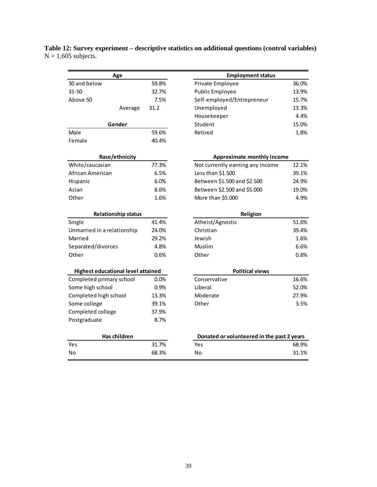| Age                                       |       | <b>Employment status</b>                   |       |  |  |
|-------------------------------------------|-------|--------------------------------------------|-------|--|--|
| 30 and below                              | 59.8% | Private Employee                           | 36.0% |  |  |
| $31 - 50$                                 | 32.7% | <b>Public Employee</b>                     | 13.9% |  |  |
| Above 50                                  | 7.5%  | Self-employed/Entrepreneur                 | 15.7% |  |  |
| Average                                   | 31.2  | Unemployed                                 | 13.3% |  |  |
|                                           |       | Housekeeper                                | 4.4%  |  |  |
| Gender                                    |       | Student                                    | 15.0% |  |  |
| Male                                      | 59.6% | Retired                                    | 1.8%  |  |  |
| Female                                    | 40.4% |                                            |       |  |  |
| Race/ethnicity                            |       | Approximate monthly income                 |       |  |  |
| White/caucasian                           | 77.3% | Not currently earning any income           | 12.1% |  |  |
| African American                          | 6.5%  | Less than \$1.500                          | 39.1% |  |  |
| Hispanic                                  | 6.0%  | Between \$1.500 and \$2.500                | 24.9% |  |  |
| Asian                                     | 8.6%  | Between \$2.500 and \$5.000                | 19.0% |  |  |
| Other                                     | 1.6%  | More than \$5.000                          | 4.9%  |  |  |
| <b>Relationship status</b>                |       | Religion                                   |       |  |  |
| Single                                    | 41.4% | Atheist/Agnostic                           | 51.6% |  |  |
| Unmarried in a relationship               | 24.0% | Christian                                  | 39.4% |  |  |
| Married                                   | 29.2% | Jewish                                     | 1.6%  |  |  |
| Separated/divorces                        | 4.8%  | <b>Muslim</b>                              | 6.6%  |  |  |
| Other                                     | 0.6%  | Other                                      | 0.8%  |  |  |
| <b>Highest educational level attained</b> |       | <b>Political views</b>                     |       |  |  |
| Completed primary school                  | 0.0%  | Conservative                               | 16.6% |  |  |
| Some high school                          | 0.9%  | Liberal                                    | 52.0% |  |  |
| Completed high school                     | 13.3% | Moderate                                   | 27.9% |  |  |
| Some college                              | 39.1% | Other                                      | 3.5%  |  |  |
| Completed college                         | 37.9% |                                            |       |  |  |
| Postgraduate                              | 8.7%  |                                            |       |  |  |
| Has children                              |       | Donated or volunteered in the past 2 years |       |  |  |
| Yes                                       | 31.7% | Yes                                        | 68.9% |  |  |
| No                                        | 68.3% | No                                         | 31.1% |  |  |
|                                           |       |                                            |       |  |  |

**Table 12: Survey experiment – descriptive statistics on additional questions (control variables)**  $N = 1,605$  subjects.